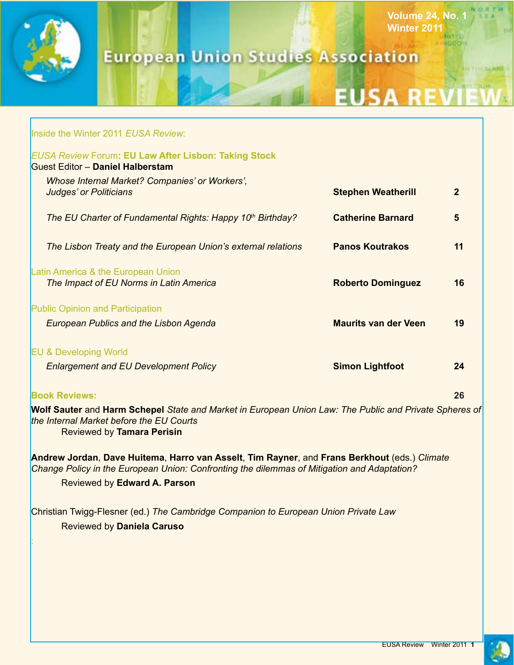

Г

# **European Union Studies Association**

# **EUSA REVIET**

**Volume 24, No. 1**

**NITED JODDIN** 

**Winter 2011**

|                                                                                                                                                                                             | Inside the Winter 2011 EUSA Review:                                                    |                             |              |  |
|---------------------------------------------------------------------------------------------------------------------------------------------------------------------------------------------|----------------------------------------------------------------------------------------|-----------------------------|--------------|--|
| <b>EUSA Review Forum: EU Law After Lisbon: Taking Stock</b><br><b>Guest Editor - Daniel Halberstam</b>                                                                                      |                                                                                        |                             |              |  |
|                                                                                                                                                                                             | <b>Whose Internal Market? Companies' or Workers',</b><br><b>Judges' or Politicians</b> | <b>Stephen Weatherill</b>   | $\mathbf{2}$ |  |
|                                                                                                                                                                                             | The EU Charter of Fundamental Rights: Happy 10th Birthday?                             | <b>Catherine Barnard</b>    | 5            |  |
|                                                                                                                                                                                             | The Lisbon Treaty and the European Union's external relations                          | <b>Panos Koutrakos</b>      | 11           |  |
|                                                                                                                                                                                             | Latin America & the European Union<br>The Impact of EU Norms in Latin America          | <b>Roberto Dominguez</b>    | 16           |  |
|                                                                                                                                                                                             | <b>Public Opinion and Participation</b>                                                |                             |              |  |
|                                                                                                                                                                                             | <b>European Publics and the Lisbon Agenda</b>                                          | <b>Maurits van der Veen</b> | 19           |  |
|                                                                                                                                                                                             | <b>EU &amp; Developing World</b>                                                       |                             |              |  |
|                                                                                                                                                                                             | <b>Enlargement and EU Development Policy</b>                                           | <b>Simon Lightfoot</b>      | 24           |  |
|                                                                                                                                                                                             | <b>Book Reviews:</b>                                                                   |                             | 26           |  |
| Wolf Sauter and Harm Schepel State and Market in European Union Law: The Public and Private Spheres of<br>the Internal Market before the EU Courts<br>Reviewed by Tamara Perisin            |                                                                                        |                             |              |  |
| Andrew Jordan, Dave Huitema, Harro van Asselt, Tim Rayner, and Frans Berkhout (eds.) Climate<br>Change Policy in the European Union: Confronting the dilemmas of Mitigation and Adaptation? |                                                                                        |                             |              |  |
|                                                                                                                                                                                             | Reviewed by Edward A. Parson                                                           |                             |              |  |
|                                                                                                                                                                                             | Christian Twigg-Flesner (ed.) The Cambridge Companion to European Union Private Law    |                             |              |  |
|                                                                                                                                                                                             | <b>Reviewed by Daniela Caruso</b>                                                      |                             |              |  |
|                                                                                                                                                                                             |                                                                                        |                             |              |  |
|                                                                                                                                                                                             |                                                                                        |                             |              |  |

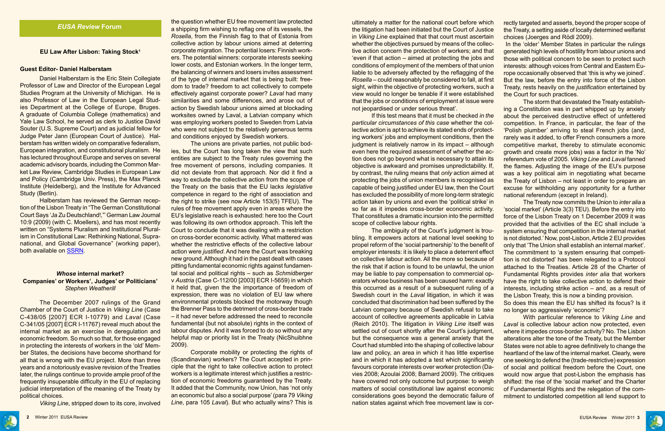the question whether EU free movement law protected a shipping firm wishing to reflag one of its vessels, the *Rosella*, from the Finnish flag to that of Estonia from collective action by labour unions aimed at deterring corporate migration. The potential losers: Finnish workers. The potential winners: corporate interests seeking lower costs, and Estonian workers. In the longer term, the balancing of winners and losers invites assessment of the type of internal market that is being built: freedom to trade? freedom to act collectively to compete effectively against corporate power? *Laval* had many similarities and some differences, and arose out of action by Swedish labour unions aimed at blockading worksites owned by Laval, a Latvian company which was employing workers posted to Sweden from Latvia who were not subject to the relatively generous terms and conditions enjoyed by Swedish workers.

The unions are private parties, not public bodies, but the Court has long taken the view that such entities are subject to the Treaty rules governing the free movement of persons, including companies. It did not deviate from that approach. Nor did it find a way to exclude the collective action from the scope of the Treaty on the basis that the EU lacks *legislative* competence in regard to the right of association and the right to strike (see now Article 153(5) TFEU). The rules of free movement apply even in areas where the EU's legislative reach is exhausted: here too the Court was following its own orthodox approach. This left the Court to conclude that it was dealing with a restriction on cross-border economic activity. What mattered was whether the restrictive effects of the collective labour action were *justified*. And here the Court was breaking new ground. Although it had in the past dealt with cases pitting fundamental economic rights against fundamental social and political rights – such as *Schmidberger* v *Austria* (Case C-112/00 [2003] ECR I-5659) in which it held that, given the the importance of freedom of expression, there was no violation of EU law where environmental protests blocked the motorway though the Brenner Pass to the detriment of cross-border trade – it had never before addressed the need to reconcile fundamental (but not absolute) rights in the context of labour disputes. And it was forced to do so without any helpful map or priority list in the Treaty (NicShuibhne 2009).

Corporate mobility or protecting the rights of (Scandinavian) workers? The Court accepted in principle that the right to take collective action to protect workers is a legitimate interest which justifies a restriction of economic freedoms guaranteed by the Treaty. It added that the Community, now Union, has 'not only an economic but also a social purpose' (para 79 *Viking Line*, para 105 *Laval*). But who actually wins? This is

ultimately a matter for the national court before which the litigation had been initiated but the Court of Justice in *Viking Line* explained that that court must ascertain whether the objectives pursued by means of the collective action concern the protection of workers; and that 'even if that action – aimed at protecting the jobs and conditions of employment of the members of that union liable to be adversely affected by the reflagging of the *Rosella* – could reasonably be considered to fall, at first sight, within the objective of protecting workers, such a view would no longer be tenable if it were established that the jobs or conditions of employment at issue were not jeopardised or under serious threat'. rectly targeted and asserts, beyond the proper scope of the Treaty, a setting aside of locally determined welfarist choices (Joerges and Rödl 2009). In the 'older' Member States in particular the rulings generated high levels of hostility from labour unions and those with political concern to be seen to protect such interests: although voices from Central and Eastern Europe occasionally observed that 'this is why we joined'. But the law, before the entry into force of the Lisbon Treaty, rests heavily on the *justification* entertained by the Court for such practices. The storm that devastated the Treaty establishing a Constitution was in part whipped up by anxiety

If this test means that it must be checked *in the particular circumstances of this case* whether the collective action is apt to achieve its stated ends of protecting workers' jobs and employment conditions, then the judgment is relatively narrow in its impact – although even here the required assessment of whether the action does not go beyond what is necessary to attain its objective is awkward and promises unpredictability. If, by contrast, the ruling means that *only* action aimed at protecting the jobs of union members is recognised as capable of being justified under EU law, then the Court has excluded the possibility of more long-term strategic action taken by unions and even the 'political strike' in so far as it impedes cross-border economic activity. That constitutes a dramatic incursion into the permitted scope of collective labour rights. about the perceived destructive effect of unfettered competition. In France, in particular, the fear of the 'Polish plumber' arriving to steal French jobs (and, rarely was it added, to offer French consumers a more competitive market, thereby to stimulate economic growth and create more jobs) was a factor in the 'No' referendum vote of 2005. *Viking Line* and *Laval* fanned the flames. Adjusting the image of the EU's purpose was a key political aim in negotiating what became the Treaty of Lisbon – not least in order to prepare an excuse for withholding any opportunity for a further national referendum (except in Ireland). The Treaty now commits the Union to *inter alia* a 'social market' (Article 3(3) TEU). Before the entry into force of the Lisbon Treaty on 1 December 2009 it was provided that the activities of the EC shall include 'a

The ambiguity of the Court's judgment is troubling. It empowers actors at national level seeking to propel reform of the 'social partnership' to the benefit of employer interests: it is likely to place a deterrent effect on collective labour action. All the more so because of the risk that if action is found to be unlawful, the union may be liable to pay compensation to commercial operators whose business has been caused harm: exactly this occurred as a result of a subsequent ruling of a Swedish court in the *Laval* litigation, in which it was concluded that discrimination had been suffered by the Latvian company because of Swedish refusal to take account of collective agreements applicable in Latvia (Reich 2010). The litigation in *Viking Line* itself was settled out of court shortly after the Court's judgment, but the consequence was a general anxiety that the Court had stumbled into the shaping of collective labour law and policy, an area in which it has little expertise and in which it has adopted a test which significantly favours corporate interests over worker protection (Davies 2008; Azoulai 2008; Barnard 2009). The critiques have covered not only outcome but purpose: to weigh matters of social constitutional law against economic considerations goes beyond the democratic failure of nation states against which free movement law is corsystem ensuring that competition in the internal market is not distorted.' Now, post-Lisbon, Article 2 EU provides only that 'The Union shall establish an internal market'. The commitment to 'a system ensuring that competition is not distorted' has been relegated to a Protocol attached to the Treaties. Article 28 of the Charter of Fundamental Rights provides *inter alia* that workers have the right to take collective action to defend their interests, including strike action – and, as a result of the Lisbon Treaty, this is now a binding provision. So does this mean the EU has shifted its focus? Is it no longer so aggressively 'economic'? With particular reference to *Viking Line* and *Laval* is collective labour action now protected, even where it impedes cross-border activity? No. The Lisbon alterations alter the tone of the Treaty, but the Member States were not able to agree definitively to change the heartland of the law of the internal market. Clearly, were one seeking to defend the (trade-restrictive) expression of social and political freedom before the Court, one would now argue that post-Lisbon the emphasis has shifted: the rise of the 'social market' and the Charter of Fundamental Rights and the relegation of the commitment to undistorted competition all lend support to





#### **Guest Editor- Daniel Halberstam**

Daniel Halberstam is the Eric Stein Collegiate Professor of Law and Director of the European Legal Studies Program at the University of Michigan. He is also Professor of Law in the European Legal Studies Department at the College of Europe, Bruges. A graduate of Columbia College (mathematics) and Yale Law School, he served as clerk to Justice David Souter (U.S. Supreme Court) and as judicial fellow for Judge Peter Jann (European Court of Justice). Halberstam has written widely on comparative federalism, European integration, and constitutional pluralism. He has lectured throughout Europe and serves on several academic advisory boards, including the Common Market Law Review, Cambridge Studies in European Law and Policy (Cambridge Univ. Press), the Max Planck Institute (Heidelberg), and the Institute for Advanced Study (Berlin).

Halberstam has reviewed the German reception of the Lisbon Treaty in "The German Constitutional Court Says 'Ja Zu Deutschland!,"' German Law Journal 10:9 (2009) (with C. Moellers), and has most recently written on "Systems Pluralism and Institutional Pluralism in Constitutional Law: Rethinking National, Supranational, and Global Governance" (working paper), both available on [SSRN.](http://papers.ssrn.com/sol3/cf_dev/AbsByAuth.cfm?per_id=256592)

### *Whose* **internal market? Companies' or Workers', Judges' or Politicians'** *Stephen Weatherill*

The December 2007 rulings of the Grand Chamber of the Court of Justice in *Viking Line* (Case C-438/05 [2007] ECR I-10779) and *Laval* (Case C-341/05 [2007] ECR I-11767) reveal much about the internal market as an exercise in deregulation and economic freedom. So much so that, for those engaged in protecting the interests of workers in the 'old' Member States, the decisions have become shorthand for all that is wrong with the EU project. More than three years and a notoriously evasive revision of the Treaties later, the rulings continue to provide ample proof of the frequently insuperable difficulty in the EU of replacing judicial interpretation of the meaning of the Treaty by political choices.

*Viking Line*, stripped down to its core, involved

**EU Law After Lisbon: Taking Stock<sup>1</sup>**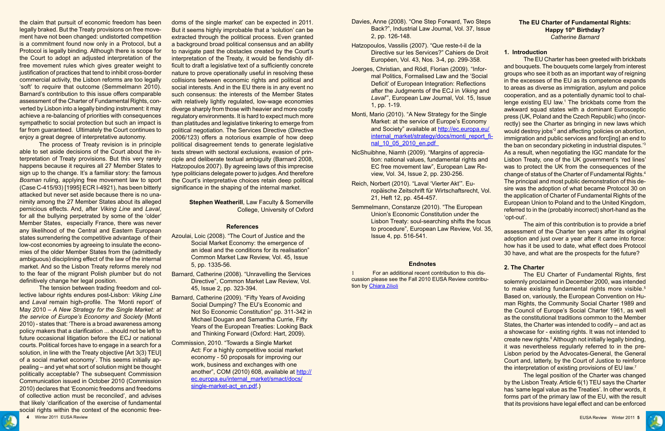the claim that pursuit of economic freedom has been legally braked. But the Treaty provisions on free movement have not been changed: undistorted competition is a commitment found now only in a Protocol, but a Protocol is legally binding. Although there is scope for the Court to adopt an adjusted interpretation of the free movement rules which gives greater weight to justification of practices that tend to inhibit cross-border commercial activity, the Lisbon reforms are too legally 'soft' to *require* that outcome (Semmelmann 2010). Barnard's contribution to this issue offers comparable assessment of the Charter of Fundamental Rights, converted by Lisbon into a legally binding instrument: it may achieve a re-balancing of priorities with consequences sympathetic to social protection but such an impact is far from guaranteed. Ultimately the Court continues to enjoy a great degree of interpretative autonomy.

The process of Treaty revision is in principle able to set aside decisions of the Court about the interpretation of Treaty provisions. But this very rarely happens because it requires all 27 Member States to sign up to the change. It's a familiar story: the famous *Bosman* ruling, applying free movement law to sport (Case C-415/93) [1995] ECR I-4921), has been bitterly attacked but never set aside because there is no unanimity among the 27 Member States about its alleged pernicious effects. And, after *Viking Line* and *Laval*, for all the bullying perpetrated by some of the 'older' Member States, especially France, there was never any likelihood of the Central and Eastern European states surrendering the competitive advantage of their low-cost economies by agreeing to insulate the economies of the older Member States from the (admittedly ambiguous) disciplining effect of the law of the internal market. And so the Lisbon Treaty reforms merely nod to the fear of the migrant Polish plumber but do not definitively change her legal position.

**Stephen Weatherill, Law Faculty & Somerville** College, University of Oxford

- Azoulai, Loic (2008). "The Court of Justice and the Social Market Economy: the emergence of an ideal and the conditions for its realisation" Common Market Law Review, Vol. 45, Issue 5, pp. 1335-56.
- Barnard, Catherine (2008). "Unravelling the Services Directive", Common Market Law Review, Vol. 45, Issue 2, pp. 323-394.
- Barnard, Catherine (2009). "Fifty Years of Avoiding Social Dumping? The EU's Economic and Not So Economic Constitution" pp. 311-342 in Michael Dougan and Samantha Currie, Fifty Years of the European Treaties: Looking Back and Thinking Forward (Oxford: Hart, 2009).
- Commission, 2010. "Towards a Single Market Act: For a highly competitive social market economy - 50 proposals for improving our work, business and exchanges with one another", COM (2010) 608, available at [http://](http://ec.europa.eu/internal_market/smact/docs/single-market-act_en.pdf) [ec.europa.eu/internal\\_market/smact/docs/](http://ec.europa.eu/internal_market/smact/docs/single-market-act_en.pdf) [single-market-act\\_en.pdf.](http://ec.europa.eu/internal_market/smact/docs/single-market-act_en.pdf))

The tension between trading freedom and collective labour rights endures post-Lisbon: *Viking Line* and *Laval* remain high-profile. The 'Monti report' of May 2010 – *A New Strategy for the Single Market: at the service of Europe's Economy and Society* (Monti 2010) - states that: 'There is a broad awareness among policy makers that a clarification ... should not be left to future occasional litigation before the ECJ or national courts. Political forces have to engage in a search for a solution, in line with the Treaty objective [Art 3(3) TEU] of a social market economy'. This seems initially appealing – and yet what sort of solution might be thought politically acceptable? The subsequent Commission Communication issued in October 2010 (Commission 2010) declares that 'Economic freedoms and freedoms of collective action must be reconciled', and advises that likely 'clarification of the exercise of fundamental social rights within the context of the economic freedoms of the single market' can be expected in 2011. But it seems highly improbable that a 'solution' can be extracted through the political process. Even granted a background broad political consensus and an ability to navigate past the obstacles created by the Court's interpretation of the Treaty, it would be fiendishly difficult to draft a legislative text of a sufficiently concrete nature to prove operationally useful in resolving these collisions between economic rights and political and social interests. And in the EU there is in any event no such consensus: the interests of the Member States with relatively lightly regulated, low-wage economies diverge sharply from those with heavier and more costly regulatory environments. It is hard to expect much more than platitudes and legislative tinkering to emerge from political negotiation. The Services Directive (Directive 2006/123) offers a notorious example of how deep political disagreement tends to generate legislative texts strewn with sectoral exclusions, evasion of principle and deliberate textual ambiguity (Barnard 2008, Hatzopoulos 2007). By agreeing laws of this imprecise type politicians delegate power to judges. And therefore the Court's interpretative choices retain deep political significance in the shaping of the internal market.

> The EU Charter of Fundamental Rights, first solemnly proclaimed in December 2000, was intended to make existing fundamental rights more visible.<sup>5</sup> Based on, variously, the European Convention on Human Rights, the Community Social Charter 1989 and the Council of Europe's Social Charter 1961, as well as the constitutional traditions common to the Member States, the Charter was intended to codify – and act as a showcase for - existing rights. It was not intended to create new rights.<sup>6</sup> Although not initially legally binding, it was nevertheless regularly referred to in the pre-Lisbon period by the Advocates-General, the General Court and, latterly, by the Court of Justice to reinforce the interpretation of existing provisions of EU law.<sup>7</sup>

#### **References**

- Davies, Anne (2008). "One Step Forward, Two Steps Back?", Industrial Law Journal, Vol. 37, Issue 2, pp. 126-148.
- Hatzopoulos, Vassilis (2007). "Que reste-t-il de la Directive sur les Services?" Cahiers de Droit Européen, Vol. 43, Nos. 3-4, pp. 299-358.
- Joerges, Christian, and Rödl, Florian (2009). "Informal Politics, Formalised Law and the 'Social Deficit' of European Integration: Reflections after the Judgments of the ECJ in *Viking* and *Laval*'", European Law Journal, Vol. 15, Issue 1, pp. 1-19.
- Monti, Mario (2010). "A New Strategy for the Single Market: at the service of Europe's Economy and Society" available at [http://ec.europa.eu/](http://ec.europa.eu/internal_market/strategy/docs/monti_report_final_10_05_2010_en.pdf%20%20) [internal\\_market/strategy/docs/monti\\_report\\_fi](http://ec.europa.eu/internal_market/strategy/docs/monti_report_final_10_05_2010_en.pdf%20%20)nal\_10\_05\_2010\_en.pdf
- NicShuibhne, Niamh (2009). "Margins of appreciation: national values, fundamental rights and EC free movement law", European Law Review, Vol. 34, Issue 2, pp. 230-256.
- Reich, Norbert (2010). "Laval 'Vierter Akt'". Europäische Zeitschrift für Wirtschaftsrecht, Vol. 21, Heft 12, pp. 454-457.
- Semmelmann, Constanze (2010). "The European Union's Economic Constitution under the Lisbon Treaty: soul-searching shifts the focus to procedure", European Law Review, Vol. 35, Issue 4, pp. 516-541.

## **Endnotes**

1 For an additional recent contribution to this discussion please see the Fall 2010 EUSA Review contribution by Chiara Zilioli



#### **The EU Charter of Fundamental Rights: Happy 10th Birthday?** *Catherine Barnard*

## **1. Introduction**

The EU Charter has been greeted with brickbats and bouquets. The bouquets come largely from interest groups who see it both as an important way of reigning in the excesses of the EU as its competence expands to areas as diverse as immigration, asylum and police cooperation, and as a potentially dynamic tool to challenge existing EU law.<sup>1</sup> The brickbats come from the awkward squad states with a dominant Eurosceptic press (UK, Poland and the Czech Republic) who (incorrectly) see the Charter as bringing in new laws which would destroy jobs'2 and affecting 'policies on abortion, immigration and public services and forc[ing] an end to the ban on secondary picketing in industrial disputes.'3 As a result, when negotiating the IGC mandate for the Lisbon Treaty, one of the UK government's 'red lines' was to protect the UK from the consequences of the change of status of the Charter of Fundamental Rights.4 The principal and most public demonstration of this desire was the adoption of what became Protocol 30 on the application of Charter of Fundamental Rights of the European Union to Poland and to the United Kingdom, referred to in the (probably incorrect) short-hand as the 'opt-out'.

The aim of this contribution is to provide a brief assessment of the Charter ten years after its original adoption and just over a year after it came into force: how has it be used to date, what effect does Protocol 30 have, and what are the prospects for the future?

#### **2. The Charter**

The legal position of the Charter was changed by the Lisbon Treaty. Article 6(1) TEU says the Charter has 'same legal value as the Treaties'. In other words, it forms part of the primary law of the EU, with the result that its provisions have legal effect and can be enforced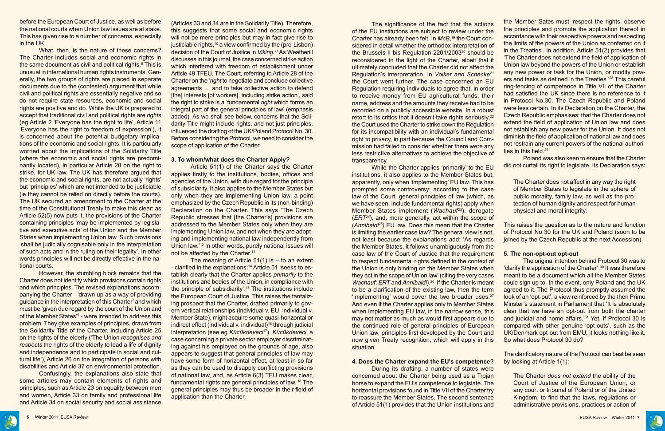

before the European Court of Justice, as well as before the national courts when Union law issues are at stake. This has given rise to a number of concerns, especially in the UK.

What, then, is the nature of these concerns? The Charter includes social and economic rights in the same document as civil and political rights.<sup>8</sup> This is unusual in international human rights instruments. Generally, the two groups of rights are placed in separate documents due to the (contested) argument that while civil and political rights are essentially negative and so do not require state resources, economic and social rights are positive and do. While the UK is prepared to accept that traditional civil and political rights are *rights* (eg Article 2 'Everyone has the right to life', Article 11 'Everyone has the right to freedom of expression'), it is concerned about the potential budgetary implications of the economic and social rights. It is particularly worried about the implications of the Solidarity Title (where the economic and social rights are predominantly located), in particular Article 28 on the right to strike, for UK law. The UK has therefore argued that the economic and social rights, are not actually 'rights' but 'principles' which are not intended to be justiciable (ie they cannot be relied on directly before the courts). The UK secured an amendment to the Charter at the time of the Constitutional Treaty to make this clear: as Article 52(5) now puts it, the provisions of the Charter containing principles 'may be implemented by legislative and executive acts' of the Union and the Member States when implementing Union law. Such provisions 'shall be judicially cognisable only in the interpretation of such acts and in the ruling on their legality'. In other words principles will not be directly effective in the national courts.

Article 51(1) of the Charter says the Charter applies firstly to the institutions, bodies, offices and agencies of the Union, with due regard for the principle of subsidiarity. It also applies to the Member States but only when they are implementing Union law, a point emphasized by the Czech Republic in its (non-binding) Declaration on the Charter. This says 'The Czech Republic stresses that [the Charter's] provisions are addressed to the Member States only when they are implementing Union law, and not when they are adopting and implementing national law independently from Union law.'12 In other words, purely national issues will not be affected by the Charter.<sup>13</sup>

However, the stumbling block remains that the Charter does not identify which provisions contain rights and which principles. The revised explanations accompanying the Charter - 'drawn up as a way of providing guidance in the interpretation of this Charter' and which must be 'given due regard by the court of the Union and of the Member States<sup>'9</sup> - were intended to address this problem. They give examples of principles, drawn from the Solidarity Title of the Charter, including Article 25 on the rights of the elderly ('The Union *recognises and respects* the rights of the elderly to lead a life of dignity and independence and to participate in social and cultural life'), Article 26 on the integration of persons with disabilities and Article 37 on environmental protection.

Confusingly, the explanations also state that some articles may contain elements of rights and principles, such as Article 23 on equality between men and women, Article 33 on family and professional life and Article 34 on social security and social assistance

The meaning of Article  $51(1)$  is  $-$  to an extent - clarified in the explanations:14 Article 51 'seeks to establish clearly that the Charter applies *primarily* to the institutions and bodies of the Union, in compliance with the principle of subsidiarity'.15 The institutions include the European Court of Justice. This raises the tantalizing prospect that the Charter, drafted primarily to govern vertical relationships (individual v. EU, individual v. Member State), might acquire some quasi-horizontal or indirect effect (individual v. individual)<sup>16</sup> through judicial interpretation (see eg *Kücükdeveci*17). *Kücükdeveci*, a case concerning a private sector employer discriminating against his employee on the grounds of age, also appears to suggest that general principles of law may have some form of horizontal effect, at least in so far as they can be used to disapply conflicting provisions of national law, and, as Article 6(3) TEU makes clear, fundamental rights are general principles of law. 18 The general principles may thus be broader in their field of application than the Charter.

(Articles 33 and 34 are in the Solidarity Title). Therefore, this suggests that some social and economic rights will not be mere principles but may in fact give rise to justiciable rights, $10$  a view confirmed by the (pre-Lisbon) decision of the Court of Justice in *Viking.11* As Weatherill discusses in this journal, the case concerned strike action which interfered with freedom of establishment under Article 49 TFEU. The Court, referring to Article 28 of the Charter on the '*right* to negotiate and conclude collective agreements … and to take collective action to defend [the] interests [of workers], including strike action', said the right to strike is a 'fundamental *right* which forms an integral part of the general principles of law' (emphasis added). As we shall see below, concerns that the Solidarity Title might include rights, and not just principles, influenced the drafting of the UK/Poland Protocol No. 30. Before considering the Protocol, we need to consider the scope of application of the Charter.

#### **3. To whom/what does the Charter Apply?**

The significance of the fact that the actions of the EU institutions are subject to review under the Charter has already been felt. In *McB*, 19 the Court considered in detail whether the orthodox interpretation of the Brussels II bis Regulation 2201/200320 should be reconsidered in the light of the Charter, albeit that it ultimately concluded that the Charter did not affect the Regulation's interpretation. In *Volker and Schecke21* the Court went further. The case concerned an EU Regulation requiring individuals to agree that, in order to receive money from EU agricultural funds, their name, address and the amounts they receive had to be recorded on a publicly accessible website. In a robust retort to its critics that it doesn't take rights seriously,<sup>22</sup> the Court used the Charter to strike down the Regulation for its incompatibility with an individual's fundamental right to privacy, in part because the Council and Commission had failed to consider whether there were any less restrictive alternatives to achieve the objective of transparency. the Member Sates must 'respect the rights, observe the principles and promote the application thereof in accordance with their respective powers and respecting the limits of the powers of the Union as conferred on it in the Treaties'. In addition, Article 51(2) provides that 'The Charter does not extend the field of application of Union law beyond the powers of the Union or establish any new power or task for the Union, or modify powers and tasks as defined in the Treaties.'28 This careful ring-fencing of competence in Title VII of the Charter had satisfied the UK since there is no reference to it in Protocol No.30. The Czech Republic and Poland were less certain. In its Declaration on the Charter, the Czech Republic emphasises: that the Charter does not extend the field of application of Union law and does not establish any new power for the Union. It does not diminish the field of application of national law and does not restrain any current powers of the national authorities in this field.<sup>29</sup> Poland was also keen to ensure that the Charter did not curtail its right to legislate. Its Declaration says:

#### **4. Does the Charter expand the EU's competence?**

While the Charter applies 'primarily' to the EU institutions, it also applies to the Member States but, apparently, only when 'implementing' EU law. This has prompted some controversy: according to the case law of the Court, general principles of law (which, as we have seen, include fundamental rights) apply when Member States implement (*Wachauf*23), derogate (*ERT24*), and, more generally, act within the scope of (*Annibaldi25)* EU law. Does this mean that the Charter is limiting the earlier case law? The general view is not, not least because the explanations add: 'As regards the Member States, it follows unambiguously from the case-law of the Court of Justice that the requirement to respect fundamental rights defined in the context of the Union is only binding on the Member States when they act in the scope of Union law' (citing the very cases *Wachauf*; *ERT* and *Annibaldi*).26 If the Charter is meant to be a clarification of the existing law, then the term 'implementing' would cover the two broader uses.27 And even if the Charter applies only to Member States when implementing EU law, in the narrow sense, this may not matter as much as would first appears due to the continued role of general principles of European Union law, principles first developed by the Court and now given Treaty recognition, which will apply in this situation. The Charter does not affect in any way the right of Member States to legislate in the sphere of public morality, family law, as well as the protection of human dignity and respect for human physical and moral integrity. This raises the question as to the nature and function of Protocol No 30 for the UK and Poland (soon to be joined by the Czech Republic at the next Accession). **5. The non-opt-out opt-out** The original intention behind Protocol 30 was to 'clarify the application of the Charter'.30 It was therefore meant to be a document which all the Member States could sign up to. In the event, only Poland and the UK agreed to it. The Protocol thus promptly assumed the look of an 'opt-out', a view reinforced by the then Prime Minster's statement in Parliament that 'It is absolutely clear that we have an opt-out from both the charter and judicial and home affairs.'31 Yet, if Protocol 30 is compared with other genuine 'opt-outs', such as the UK/Denmark opt-out from EMU, it looks nothing like it. So what does Protocol 30 do?

During its drafting, a number of states were concerned about the Charter being used as a Trojan horse to expand the EU's competence to legislate. The horizontal provisions found in Title VII of the Charter try to reassure the Member States. The second sentence of Article 51(1) provides that the Union institutions and The Charter *does not extend* the ability of the Court of Justice of the European Union, or any court or tribunal of Poland or of the United Kingdom, to find that the laws, regulations or administrative provisions, practices or action of



The clarificatory nature of the Protocol can best be seen by looking at Article 1(1):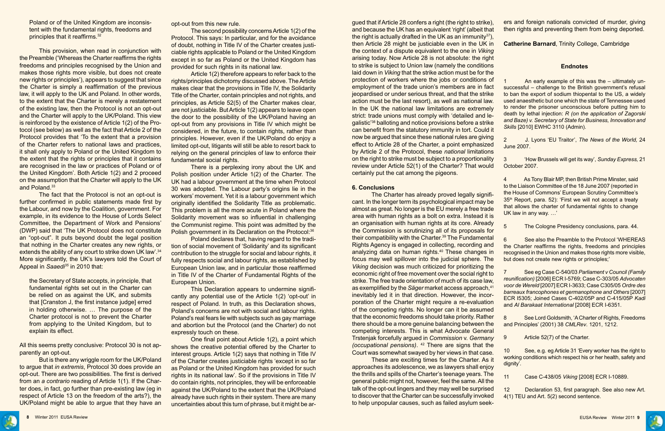This provision, when read in conjunction with the Preamble ('Whereas the Charter reaffirms the rights freedoms and principles recognised by the Union and makes those rights more visible, but does not create new rights or principles'), appears to suggest that since the Charter is simply a reaffirmation of the previous law, it will apply to the UK and Poland. In other words, to the extent that the Charter is merely a restatement of the existing law, then the Protocol is not an opt-out and the Charter will apply to the UK/Poland. This view is reinforced by the existence of Article 1(2) of the Protocol (see below) as well as the fact that Article 2 of the Protocol provides that 'To the extent that a provision of the Charter refers to national laws and practices, it shall only apply to Poland or the United Kingdom to the extent that the rights or principles that it contains are recognised in the law or practices of Poland or of the United Kingdom'. Both Article 1(2) and 2 proceed on the assumption that the Charter will apply to the UK and Poland.<sup>33</sup>

Poland or of the United Kingdom are inconsistent with the fundamental rights, freedoms and principles that it reaffirms.<sup>32</sup>

The fact that the Protocol is not an opt-out is further confirmed in public statements made first by the Labour, and now by the Coalition, government. For example, in its evidence to the House of Lords Select Committee, the Department of Work and Pensions' (DWP) said that 'The UK Protocol does not constitute an "opt-out". It puts beyond doubt the legal position that nothing in the Charter creates any new rights, or extends the ability of any court to strike down UK law'.<sup>34</sup> More significantly, the UK's lawyers told the Court of Appeal in *Saaedi35* in 2010 that:

There is a perplexing irony about the UK and Polish position under Article 1(2) of the Charter. The UK had a labour government at the time when Protocol 30 was adopted. The Labour party's origins lie in the workers' movement. Yet it is a labour government which originally identified the Solidarity Title as problematic. This problem is all the more acute in Poland where the Solidarity movement was so influential in challenging the Communist regime. This point was admitted by the Polish government in its Declaration on the Protocol: 36

the Secretary of State accepts, in principle, that fundamental rights set out in the Charter can be relied on as against the UK, and submits that [Cranston J, the first instance judge] erred in holding otherwise. … The purpose of the Charter protocol is not to prevent the Charter from applying to the United Kingdom, but to explain its effect.

All this seems pretty conclusive: Protocol 30 is not apparently an opt-out.

But is there any wriggle room for the UK/Poland to argue that *in extremis*, Protocol 30 does provide an opt-out. There are two possibilities. The first is derived from an *a contrario* reading of Article 1(1). If the Charter does, in fact, go further than pre-existing law (eg in respect of Article 13 on the freedom of the arts?), the UK/Poland might be able to argue that they have an opt-out from this new rule.

The second possibility concerns Article 1(2) of the Protocol. This says: In particular, and for the avoidance of doubt, nothing in Title IV of the Charter creates justiciable rights applicable to Poland or the United Kingdom except in so far as Poland or the United Kingdom has provided for such rights in its national law.

Article 1(2) therefore appears to refer back to the rights/principles dichotomy discussed above. The Article makes clear that the provisions in Title IV, the Solidarity Title of the Charter, contain principles and not rights, and principles, as Article 52(5) of the Charter makes clear, are not justiciable. But Article 1(2) appears to leave open the door to the possibility of the UK/Poland having an opt-out from any provisions in Title IV which might be considered, in the future, to contain rights, rather than principles. However, even if the UK/Poland do enjoy a limited opt-out, litigants will still be able to resort back to relying on the general principles of law to enforce their fundamental social rights.

Poland declares that, having regard to the tradition of social movement of 'Solidarity' and its significant contribution to the struggle for social and labour rights, it fully respects social and labour rights, as established by European Union law, and in particular those reaffirmed in Title IV of the Charter of Fundamental Rights of the European Union.

This Declaration appears to undermine significantly any potential use of the Article 1(2) 'opt-out' in respect of Poland. In truth, as this Declaration shows, Poland's concerns are not with social and labour rights. Poland's real fears lie with subjects such as gay marriage and abortion but the Protocol (and the Charter) do not expressly touch on these.

One final point about Article 1(2), a point which shows the creative potential offered by the Charter to interest groups. Article 1(2) says that nothing in Title IV of the Charter creates justiciable rights 'except in so far as Poland or the United Kingdom has provided for such rights in its national law'. So if the provisions in Title IV do contain rights, not principles, they will be enforceable against the UK/Poland to the extent that the UK/Poland already have such rights in their system. There are many uncertainties about this turn of phrase, but it might be ar-

#### **6. Conclusions**

gued that if Article 28 confers a right (the right to strike), and because the UK has an equivalent 'right' (albeit that the right is actually drafted in the UK as an immunity<sup>37</sup>), then Article 28 might be justiciable even in the UK in the context of a dispute equivalent to the one in *Viking* arising today. Now Article 28 is not absolute: the right to strike is subject to Union law (namely the conditions laid down in *Viking* that the strike action must be for the protection of workers where the jobs or conditions of employment of the trade union's members are in fact jeopardised or under serious threat, and that the strike action must be the last resort), as well as national law. In the UK the national law limitations are extremely strict: trade unions must comply with 'detailed and legalistic'38 balloting and notice provisions before a strike can benefit from the statutory immunity in tort. Could it now be argued that since these national rules are giving effect to Article 28 of the Charter, a point emphasized by Article 2 of the Protocol, these *national* limitations on the right to strike must be subject to a proportionality review under Article 52(1) of the Charter? That would certainly put the cat among the pigeons. ers and foreign nationals convicted of murder, giving then rights and preventing them from being deported. **Catherine Barnard**, Trinity College, Cambridge **Endnotes** An early example of this was the – ultimately unsuccessful – challenge to the British government's refusal to ban the export of sodium thiopental to the US, a widely used anaesthetic but one which the state of Tennessee used to render the prisoner unconscious before putting him to death by lethal injection: *R (on the application of Zagorski and Baze) v. Secretary of State for Business, Innovation and Skills* [2010] EWHC 3110 (Admin). 2 J. Lyons 'EU Traitor', *The News of the World,* 24 June 2007. 3 'How Brussels will get its way', *Sunday Express,* 21 October 2007.

The Charter has already proved legally significant. In the longer term its psychological impact may be almost as great. No longer is the EU merely a free trade area with human rights as a bolt on extra. Instead it is an organisation with human rights at its core. Already the Commission is scrutinizing all of its proposals for their compatibility with the Charter.<sup>39</sup> The Fundamental Rights Agency is engaged in collecting, recording and analyzing data on human rights.<sup>40</sup> These changes in focus may well spillover into the judicial sphere. The *Viking* decision was much criticized for prioritizing the economic right of free movement over the social right to strike. The free trade orientation of much of its case law, as exemplified by the *Säger* market access approach,<sup>41</sup> inevitably led it in that direction. However, the incorporation of the Charter might require a re-evaluation of the competing rights. No longer can it be assumed that the economic freedoms should take priority. Rather there should be a more genuine balancing between the competing interests. This is what Advocate General Trstenjak forcefully argued in *Commission* v. *Germany (occupational pensions)*. 42 There are signs that the Court was somewhat swayed by her views in that case. These are exciting times for the Charter. As it 35th Report, para. 52): 'First we will not accept a treaty that allows the charter of fundamental rights to change UK law in any way. …' 5 The Cologne Presidency conclusions, para. 44. See also the Preamble to the Protocol 'WHEREAS the Charter reaffirms the rights, freedoms and principles recognised in the Union and makes those rights more visible, but does not create new rights or principles;' 7 See eg Case C-540/03 *Parliament v Council (Family reunification)* [2006] ECR I-5769; Case C-303/05 *Advocaten voor de Wereld* [2007] ECR I-3633; Case C305/05 *Ordre des barreaux francophones et germanophone and Others* [2007] ECR I5305; Joined Cases C-402/05P and C-415/05P *Kadi* and *Al Barakaat International* [2008] ECR I-6351. See Lord Goldsmith, 'A Charter of Rights, Freedoms and Principles' (2001) 38 *CMLRev*. 1201, 1212. 9 Article 52(7) of the Charter. 10 See, e.g. eg Article 31 'Every worker has the right to working conditions which respect his or her health, safety and dignity'.

4 As Tony Blair MP, then British Prime Minster, said to the Liaison Committee of the 18 June 2007 (reported in the House of Commons' European Scrutiny Committee's



approaches its adolescence, we as lawyers shall enjoy the thrills and spills of the Charter's teenage years. The general public might not, however, feel the same. All the talk of the opt-out lingers and they may well be surprised to discover that the Charter can be successfully invoked to help unpopular causes, such as failed asylum seek-11 Case C-438/05 *Viking* [2008] ECR I-10889. 12 Declaration 53, first paragraph. See also new Art. 4(1) TEU and Art. 5(2) second sentence.

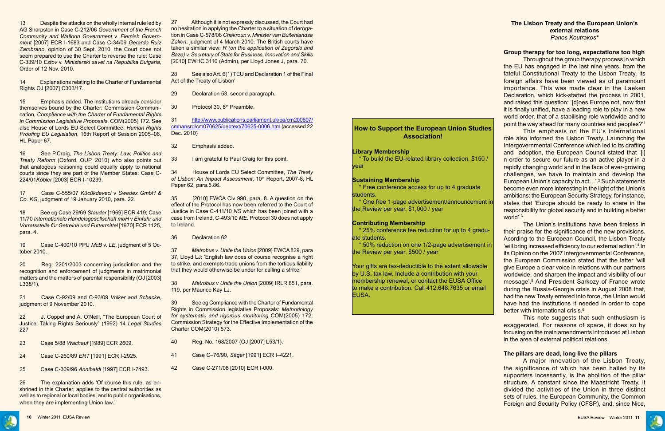

13 Despite the attacks on the wholly internal rule led by AG Sharpston in Case C-212/06 *Government of the French Community and Walloon Government* v. *Flemish Government* [2007] ECR I-1683 and Case C-34/09 *Gerardo Ruiz Zambrano*, opinion of 30 Sept. 2010, the Court does not seem prepared to use the Charter to reverse the rule: Case C-339/10 *Estov* v. *Ministerski savet na Republika Bulgaria*, Order of 12 Nov. 2010.

14 Explanations relating to the Charter of Fundamental Rights OJ [2007] C303/17.

15 Emphasis added. The institutions already consider themselves bound by the Charter: Commission Communication, *Compliance with the Charter of Fundamental Rights in Commission Legislative Proposals*, COM(2005) 172. See also House of Lords EU Select Committee: *Human Rights Proofing EU Legislation*, 16th Report of Session 2005–06, HL Paper 67.

22 J. Coppel and A. O'Neill, "The European Court of Justice: Taking Rights Seriously" (1992) 14 *Legal Studies* 227

26 The explanation adds 'Of course this rule, as enshrined in this Charter, applies to the central authorities as well as to regional or local bodies, and to public organisations, when they are implementing Union law.'

16 See P.Craig, *The Lisbon Treaty: Law, Politics and Treaty Reform* (Oxford, OUP, 2010) who also points out that analogous reasoning could equally apply to national courts since they are part of the Member States: Case C-224/01*Köbler* [2003] ECR I-10239.

17 Case C-555/07 *Kücükdeveci* v *Swedex GmbH & Co. KG*, judgment of 19 January 2010, para. 22.

18 See eg Case 29/69 *Stauder* [1969] ECR 419; Case 11/70 *Internationale Handelsgesellschaft mbH* v *Einfuhr und Vorratsstelle für Getreide und Futtermittel* [1970] ECR 1125, para. 4.

19 Case C-400/10 PPU *McB* v. *LE*, judgment of 5 October 2010.

20 Reg. 2201/2003 concerning jurisdiction and the recognition and enforcement of judgments in matrimonial matters and the matters of parental responsibility (OJ [2003] L338/1).

21 Case C-92/09 and C-93/09 *Volker and Schecke*, judgment of 9 November 2010.

23 Case 5/88 *Wachauf* [1989] ECR 2609.

24 Case C-260/89 *ERT* [1991] ECR I-2925.

25 Case C-309/96 *Annibaldi* [1997] ECR I-7493.

27 Although it is not expressly discussed, the Court had no hesitation in applying the Charter to a situation of derogation in Case C-578/08 *Chakroun* v. *Minister van Buitenlandse Zaken*, judgment of 4 March 2010. The British courts have taken a similar view: *R (on the application of Zagorski and Baze) v. Secretary of State for Business, Innovation and Skills* [2010] EWHC 3110 (Admin), per Lloyd Jones J, para. 70.

28 See also Art. 6(1) TEU and Declaration 1 of the Final Act of the Treaty of Lisbon'

> The Union's institutions have been tireless in their praise for the significance of the new provisions. Acording to the European Council, the Lisbon Treaty 'will bring increased efficiency to our external action'.<sup>4</sup> In its Opinion on the 2007 Intergovernmental Conference, the European Commission stated that the latter 'will give Europe a clear voice in relations with our partners worldwide, and sharpen the impact and visibility of our message'.5 And President Sarkozy of France wrote during the Russia-Georgia crisis in August 2008 that, had the new Treaty entered into force, the Union would have had the institutions it needed in order to cope better with international crisis.<sup>6</sup>

29 Declaration 53, second paragraph.

30 Protocol 30, 8<sup>th</sup> Preamble.

31 [http://www.publications.parliament.uk/pa/cm200607/](http://www.publications.parliament.uk/pa/cm200607/cmhansrd/cm070625/debtext/70625-0006.htm) [cmhansrd/cm070625/debtext/70625-0006.htm](http://www.publications.parliament.uk/pa/cm200607/cmhansrd/cm070625/debtext/70625-0006.htm) (accessed 22 Dec. 2010)

32 Emphasis added.

33 I am grateful to Paul Craig for this point.

34 House of Lords EU Select Committee, *The Treaty*  of Lisbon: An Impact Assessment, 10<sup>th</sup> Report, 2007-8, HL Paper 62, para.5.86.

35 [2010] EWCA Civ 990, para. 8. A question on the effect of the Protocol has now been referred to the Court of Justice in Case C-411/10 *NS* which has been joined with a case from Ireland, C-493/10 *ME*. Protocol 30 does not apply to Ireland.

36 Declaration 62.

37 *Metrobus v. Unite the Union* [2009] EWCA 829, para 37, Lloyd LJ: 'English law does of course recognise a right to strike, and exempts trade unions from the tortious liability that they would otherwise be under for calling a strike.'

38 *Metrobus v Unite the Union* [2009] IRLR 851, para. 119, per Maurice Kay LJ.

39 See eg Compliance with the Charter of Fundamental Rights in Commission legislative Proposals: *Methodology for systematic and rigorous monitoring* COM(2005) 172; Commission Strategy for the Effective Implementation of the Charter COM(2010) 573.

40 Reg. No. 168/2007 (OJ [2007] L53/1).

41 Case C–76/90, *Säger* [1991] ECR I–4221.

42 Case C-271/08 [2010] ECR I-000.

#### **The Lisbon Treaty and the European Union's external relations**  *Panos Koutrakos\**

### **Group therapy for too long, expectations too high**

Throughout the group therapy process in which the EU has engaged in the last nine years, from the fateful Constitutional Treaty to the Lisbon Treaty, its foreign affairs have been viewed as of paramount importance. This was made clear in the Laeken Declaration, which kick-started the process in 2001, and raised this question: '[d]oes Europe not, now that it is finally unified, have a leading role to play in a new world order, that of a stabilising role worldwide and to point the way ahead for many countries and peoples?'1

This emphasis on the EU's international role also informed the Lisbon Treaty. Launching the Intergovernmental Conference which led to its drafting and adoption, the European Council stated that '[i] n order to secure our future as an active player in a rapidly changing world and in the face of ever-growing challenges, we have to maintain and develop the European Union's capacity to act...'.<sup>2</sup> Such statements become even more interesting in the light of the Union's ambitions: the European Security Strategy, for instance, states that 'Europe should be ready to share in the responsibility for global security and in building a better world'.3

This note suggests that such enthusiasm is exaggerated. For reasons of space, it does so by focusing on the main amendments introduced at Lisbon in the area of external political relations.

#### **The pillars are dead, long live the pillars**

A major innovation of the Lisbon Treaty, the significance of which has been hailed by its supporters incessantly, is the abolition of the pillar structure. A constant since the Maastricht Treaty, it divided the activities of the Union in three distinct sets of rules, the European Community, the Common Foreign and Security Policy (CFSP), and, since Nice,

## **How to Support the European Union Studies Association!**

#### **Library Membership**

 \* To build the EU-related library collection. \$150 / year

#### **Sustaining Membership**

 \* Free conference access for up to 4 graduate students.

 \* One free 1-page advertisement/announcement in the Review per year. \$1,000 / year

#### **Contributing Membership**

 \* 25% conference fee reduction for up to 4 graduate students.

 \* 50% reduction on one 1/2-page advertisement in the Review per year. \$500 / year

Your gifts are tax-deductible to the extent allowable by U.S. tax law. Include a contribution with your membership renewal, or contact the EUSA Office to make a contribution. Call 412.648.7635 or email EUSA.

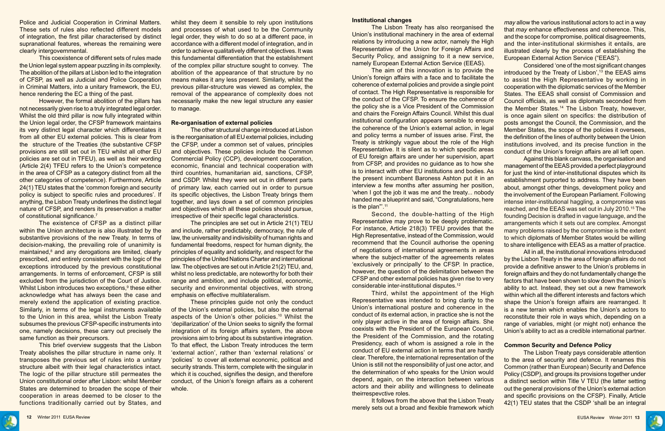

Police and Judicial Cooperation in Criminal Matters. These sets of rules also reflected different models of integration, the first pillar characterised by distinct supranational features, whereas the remaining were clearly intergovernmental.

This coexistence of different sets of rules made the Union legal system appear puzzling in its complexity. The abolition of the pillars at Lisbon led to the integration of CFSP, as well as Judicial and Police Cooperation in Criminal Matters, into a unitary framework, the EU, hence rendering the EC a thing of the past.

However, the formal abolition of the pillars has not necessarily given rise to a truly integrated legal order. Whilst the old third pillar is now fully integrated within the Union legal order, the CFSP framework maintains its very distinct legal character which differentiates it from all other EU external policies. This is clear from the structure of the Treaties (the substantive CFSP provisions are still set out in TEU whilst all other EU policies are set out in TFEU), as well as their wording (Article 2(4) TFEU refers to the Union's competence in the area of CFSP as a category distinct from all the other categories of competence). Furthermore, Article 24(1) TEU states that the 'common foreign and security policy is subject to specific rules and procedures'. If anything, the Lisbon Treaty underlines the distinct legal nature of CFSP, and renders its preservation a matter of constitutional significance.<sup>7</sup>

whilst they deem it sensible to rely upon institutions and processes of what used to be the Community legal order, they wish to do so at a different pace, in accordance with a different model of integration, and in order to achieve qualitatively different objectives. It was this fundamental differentiation that the establishment of the complex pillar structure sought to convey. The abolition of the appearance of that structure by no means makes it any less present. Similarly, whilst the previous pillar-structure was viewed as complex, the removal of the appearance of complexity does not necessarily make the new legal structure any easier to manage.

The existence of CFSP as a distinct pillar within the Union architecture is also illustrated by the substantive provisions of the new Treaty. In terms of decision-making, the prevailing role of unanimity is maintained,<sup>8</sup> and any derogations are limited, clearly prescribed, and entirely consistent with the logic of the exceptions introduced by the previous constitutional arrangements. In terms of enforcement, CFSP is still excluded from the jurisdiction of the Court of Justice. Whilst Lisbon introduces two exceptions,<sup>9</sup> these either acknowledge what has always been the case and merely extend the application of existing practice. Similarly, in terms of the legal instruments available to the Union in this area, whilst the Lisbon Treaty subsumes the previous CFSP-specific instruments into one, namely decisions, these carry out precisely the same function as their precursors.

This brief overview suggests that the Lisbon Treaty abolishes the pillar structure in name only. It transposes the previous set of rules into a unitary structure albeit with their legal characteristics intact. The logic of the pillar structure still permeates the Union constitutional order after Lisbon: whilst Member States are determined to broaden the scope of their cooperation in areas deemed to be closer to the functions traditionally carried out by States, and

#### **Re-organisation of external policies**

The other structural change introduced at Lisbon is the reorganisation of all EU external policies, including the CFSP, under a common set of values, principles and objectives. These policies include the Common Commercial Policy (CCP), development cooperation, economic, financial and technical cooperation with third countries, humanitarian aid, sanctions, CFSP, and CSDP. Whilst they were set out in different parts of primary law, each carried out in order to pursue its specific objectives, the Lisbon Treaty brings them together, and lays down a set of common principles and objectives which all these policies should pursue, irrespective of their specific legal characteristics.

> It follows from the above that the Lisbon Treaty merely sets out a broad and flexible framework which

The principles are set out in Article 21(1) TEU and include, rather predictably, democracy, the rule of law, the universality and indivisibility of human rights and fundamental freedoms, respect for human dignity, the principles of equality and solidarity, and respect for the principles of the United Nations Charter and international law. The objectives are set out in Article 21(2) TEU, and, whilst no less predictable, are noteworthy for both their range and ambition, and include political, economic, security and environmental objectives, with strong emphasis on effective multilateralism.

These principles guide not only the conduct of the Union's external policies, but also the external aspects of the Union's other policies.10 Whilst the 'depillarization' of the Union seeks to signify the formal integration of its foreign affairs system, the above provisions aim to bring about its substantive integration. To that effect, the Lisbon Treaty introduces the term 'external action', rather than 'external relations' or 'policies' to cover all external economic, political and security strands. This term, complete with the singular in which it is couched, signifies the design, and therefore conduct, of the Union's foreign affairs as a coherent whole.

#### **Institutional changes**

The Lisbon Treaty has also reorganised the Union's institutional machinery in the area of external relations by introducing a new actor, namely the High Representative of the Union for Foreign Affairs and Security Policy, and assigning to it a new service, namely European External Action Service (EEAS). *may* allow the various institutional actors to act in a way that *may* enhance effectiveness and coherence. This, and the scope for compromise, political disagreements, and the inter-institutional skirmishes it entails, are illustrated clearly by the process of establishing the European External Action Service ("EEAS").

of negotiations of international agreements in areas where the subject-matter of the agreements relates 'exclusively or principally' to the CFSP. In practice, however, the question of the delimitation between the CFSP and other external policies has given rise to very considerable inter-institutional disputes.12

Third, whilst the appointment of the High Representative was intended to bring clarity to the Union's international posture and coherence in the conduct of its external action, in practice she is not the only player active in the area of foreign affairs. She coexists with the President of the European Council, the President of the Commission, and the rotating Presidency, each of whom is assigned a role in the conduct of EU external action in terms that are hardly clear. Therefore, the international representation of the Union is still not the responsibility of just one actor, and the determination of who speaks for the Union would depend, again, on the interaction between various actors and their ability and willingness to delineate theirrespevctive roles.

The aim of this innovation is to provide the Union's foreign affairs with a face and to facilitate the coherence of external policies and provide a single point of contact. The High Representative is responsible for the conduct of the CFSP. To ensure the coherence of the policy she is a Vice President of the Commission and chairs the Foreign Affairs Council. Whilst this dual institutional configuration appears sensible to ensure the coherence of the Union's external action, in legal and policy terms a number of issues arise. First, the Treaty is strikingly vague about the role of the High Representative. It is silent as to which specific areas of EU foreign affairs are under her supervision, apart from CFSP, and provides no guidance as to how she is to interact with other EU institutions and bodies. As the present incumbent Baroness Ashton put it in an interview a few months after assuming her position, 'when I got the job it was me and the treaty... nobody handed me a blueprint and said, "Congratulations, here is the plan"<sup>11</sup> Second, the double-hatting of the High Representative may prove to be deeply problematic. For instance, Article 218(3) TFEU provides that the High Representative, instead of the Commission, would recommend that the Council authorise the opening Considered 'one of the most significant changes introduced by the Treaty of Lisbon', $13$  the EEAS aims to assist the High Representative by working in cooperation with the diplomatic services of the Member States. The EEAS shall consist of Commission and Council officials, as well as diplomats seconded from the Member States.14 The Lisbon Treaty, however, is once again silent on specifics: the distribution of posts amongst the Council, the Commission, and the Member States, the scope of the policies it oversees, the definition of the lines of authority between the Union institutions involved, and its precise function in the conduct of the Union's foreign affairs are all left open. Against this blank canvass, the organisation and management of the EEAS provided a perfect playground for just the kind of inter-institutional disputes which its establishment purported to address. They have been about, amongst other things, development policy and the involvement of the European Parliament. Following intense inter-institutional haggling, a compromise was reached, and the EEAS was set out in July 2010.15 The founding Decision is drafted in vague language, and the arrangements which it sets out are complex. Amongst many problems raised by the compromise is the extent to which diplomats of Member States would be willing to share intelligence with EEAS as a matter of practice.

All in all, the institutional innovations introduced by the Lisbon Treaty in the area of foreign affairs do not provide a definitive answer to the Union's problems in foreign affairs and they do not fundamentally change the factors that have been shown to slow down the Union's ability to act. Instead, they set out a new framework within which all the different interests and factors which shape the Union's foreign affairs are rearranged. It is a new terrain which enables the Union's actors to reconstitute their role in ways which, depending on a range of variables, might (or might not) enhance the Union's ability to act as a credible international partner.

#### **Common Security and Defence Policy**

The Lisbon Treaty pays considerable attention to the area of security and defence. It renames this Common (rather than European) Security and Defence Policy (CSDP), and groups its provisions together under a distinct section within Title V TEU (the latter setting out the general provisions of the Union's external action and specific provisions on the CFSP). Finally, Article 42(1) TEU states that the CSDP 'shall be an integral

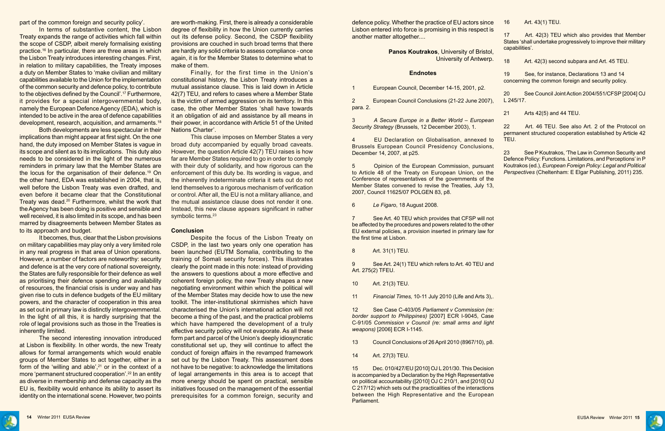



part of the common foreign and security policy'.

In terms of substantive content, the Lisbon Treaty expands the range of activities which fall within the scope of CSDP, albeit merely formalising existing practice.16 In particular, there are three areas in which the Lisbon Treaty introduces interesting changes. First, in relation to military capabilities, the Treaty imposes a duty on Member States to 'make civilian and military capabilities available to the Union for the implementation of the common security and defence policy, to contribute to the objectives defined by the Council'.17 Furthermore, it provides for a special intergovernmental body, namely the European Defence Agency (EDA), which is intended to be active in the area of defence capabilities development, research, acquisition, and armaments.18

It becomes, thus, clear that the Lisbon provisions on military capabilities may play only a very limited role in any real progress in that area of Union operations. However, a number of factors are noteworthy: security and defence is at the very core of national sovereignty, the States are fully responsible for their defence as well as prioritising their defence spending and availability of resources, the financial crisis is under way and has given rise to cuts in defence budgets of the EU military powers, and the character of cooperation in this area as set out in primary law is distinctly intergovernmental. In the light of all this, it is hardly surprising that the role of legal provisions such as those in the Treaties is inherently limited.

Both developments are less spectacular in their implications than might appear at first sight. On the one hand, the duty imposed on Member States is vague in its scope and silent as to its implications. This duty also needs to be considered in the light of the numerous reminders in primary law that the Member States are the locus for the organisation of their defence.19 On the other hand, EDA was established in 2004, that is, well before the Lisbon Treaty was even drafted, and even before it became clear that the Constitutional Treaty was dead.20 Furthermore, whilst the work that the Agency has been doing is positive and sensible and well received, it is also limited in its scope, and has been marred by disagreements between Member States as to its approach and budget.

This clause imposes on Member States a very broad duty accompanied by equally broad caveats. However, the question Article 42(7) TEU raises is how far are Member States required to go in order to comply with their duty of solidarity, and how rigorous can the enforcement of this duty be. Its wording is vague, and the inherently indeterminate criteria it sets out do not lend themselves to a rigorous mechanism of verification or control. After all, the EU is not a military alliance, and the mutual assistance clause does not render it one. Instead, this new clause appears significant in rather symbolic terms.<sup>23</sup>

The second interesting innovation introduced at Lisbon is flexibility. In other words, the new Treaty allows for formal arrangements which would enable groups of Member States to act together, either in a form of the 'willing and able', $21$  or in the context of a more 'permanent structured cooperation'.22 In an entity as diverse in membership and defense capacity as the EU is, flexibility would enhance its ability to assert its identity on the international scene. However, two points are worth-making. First, there is already a considerable degree of flexibility in how the Union currently carries out its defense policy. Second, the CSDP flexibility provisions are couched in such broad terms that there are hardly any solid criteria to assess compliance - once again, it is for the Member States to determine what to make of them.

Finally, for the first time in the Union's constitutional history, the Lisbon Treaty introduces a mutual assistance clause. This is laid down in Article 42(7) TEU, and refers to cases where a Member State is the victim of armed aggression on its territory. In this case, the other Member States 'shall have towards it an obligation of aid and assistance by all means in their power, in accordance with Article 51 of the United Nations Charter'.

#### **Conclusion**

Despite the focus of the Lisbon Treaty on CSDP, in the last two years only one operation has been launched (EUTM Somalia, contributing to the training of Somali security forces). This illustrates clearly the point made in this note: instead of providing the answers to questions about a more effective and coherent foreign policy, the new Treaty shapes a new negotiating environment within which the political will of the Member States may decide how to use the new toolkit. The inter-institutional skirmishes which have characterised the Union's international action will not become a thing of the past, and the practical problems which have hampered the development of a truly effective security policy will not evaporate. As all these form part and parcel of the Union's deeply idiosyncratic constitutional set up, they will continue to affect the conduct of foreign affairs in the revamped framework set out by the Lisbon Treaty. This assessment does not have to be negative: to acknowledge the limitations of legal arrangements in this area is to accept that more energy should be spent on practical, sensible initiatives focused on the management of the essential prerequisites for a common foreign, security and

defence policy. Whether the practice of EU actors since Lisbon entered into force is promising in this respect is another matter altogether....

#### **Panos Koutrakos**, University of Bristol, University of Antwerp.

#### **Endnotes**

1 European Council, December 14-15, 2001, p2.

2 European Council Conclusions (21-22 June 2007), para. 2.

Brussels European Council Presidency Conclusions, December 14, 2007, at p25.

5 Opinion of the European Commission, pursuant to Article 48 of the Treaty on European Union, on the Conference of representatives of the governments of the Member States convened to revise the Treaties, July 13, 2007, Council 11625/07 POLGEN 83, p8.

6 *Le Figaro*, 18 August 2008.

7 See Art. 40 TEU which provides that CFSP will not be affected by the procedures and powers related to the other EU external policies, a provision inserted in primary law for the first time at Lisbon.

8 Art. 31(1) TEU.

9 See Art. 24(1) TEU which refers to Art. 40 TEU and Art. 275(2) TFEU.

10 Art. 21(3) TEU.

11 *Financial Times,* 10-11 July 2010 (Life and Arts 3),.

3 *A Secure Europe in a Better World – European Security Strategy* (Brussels, 12 December 2003), 1. 4 EU Declaration on Globalisation, annexed to 22 Art. 46 TEU. See also Art. 2 of the Protocol on permanent structured cooperation established by Article 42 TEU.

12 See Case C-403/05 *Parliament v Commission (re: border support to Philippines)* [2007] ECR I-9045, Case C-91/05 *Commission v Council (re: small arms and light weapons)* [2006] ECR I-1145.

13 Council Conclusions of 26 April 2010 (8967/10), p8.

14 Art. 27(3) TEU.

15 Dec. 010/427/EU [2010] OJ L 201/30. This Decision is accompanied by a Declaration by the High Representative on political accountability ([2010] OJ C 210/1, and [2010] OJ C 217/12) which sets out the practicalities of the interactions between the High Representative and the European Parliament.

| Art. 43(1) TEU.<br>16<br>æ |
|----------------------------|
|----------------------------|

17 Art. 42(3) TEU which also provides that Member States 'shall undertake progressively to improve their military capabilities'.

18 Art. 42(3) second subpara and Art. 45 TEU.

19 See, for instance, Declarations 13 and 14 concerning the common foreign and security policy.

20 See Council Joint Action 2004/551/CFSP [2004] OJ L 245/17.

21 Arts 42(5) and 44 TEU.

23 See P Koutrakos, 'The Law in Common Security and Defence Policy: Functions. Limitations, and Perceptions' in P Koutrakos (ed.), *European Foreign Policy: Legal and Political Perspectives* (Cheltenham: E Elgar Publishing, 2011) 235.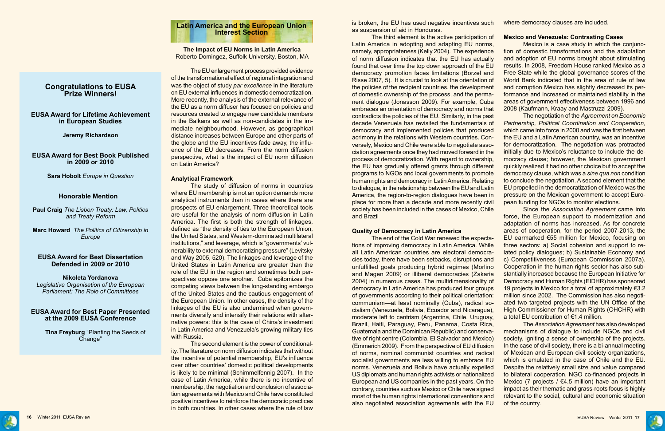

# **Latin America and the European Union Interest Section**

**The Impact of EU Norms in Latin America** Roberto Domingez, Suffolk University, Boston, MA

The EU enlargement process provided evidence of the transformational effect of regional integration and was the object of study *par excellence* in the literature on EU external influences in domestic democratization. More recently, the analysis of the external relevance of the EU as a norm diffuser has focused on policies and resources created to engage new candidate members in the Balkans as well as non-candidates in the immediate neighbourhood. However, as geographical distance increases between Europe and other parts of the globe and the EU incentives fade away, the influence of the EU decreases. From the norm diffusion perspective, what is the impact of EU norm diffusion on Latin America?

#### **Analytical Framework**

The study of diffusion of norms in countries where EU membership is not an option demands more analytical instruments than in cases where there are prospects of EU enlargement. Three theoretical tools are useful for the analysis of norm diffusion in Latin America. The first is both the strength of linkages, defined as "the density of ties to the European Union, the United States, and Western-dominated multilateral institutions," and leverage, which is "governments' vulnerability to external democratizing pressure" (Levitsky and Way 2005, 520). The linkages and leverage of the United States in Latin America are greater than the role of the EU in the region and sometimes both perspectives oppose one another. Cuba epitomizes the competing views between the long-standing embargo of the United States and the cautious engagement of the European Union. In other cases, the density of the linkages of the EU is also undermined when governments diversify and intensify their relations with alternative powers: this is the case of China's investment in Latin America and Venezuela's growing military ties with Russia.

The second element is the power of conditionality. The literature on norm diffusion indicates that without the incentive of potential membership, EU's influence over other countries' domestic political developments is likely to be minimal (Schimmelfennig 2007). In the case of Latin America, while there is no incentive of membership, the negotiation and conclusion of association agreements with Mexico and Chile have constituted positive incentives to reinforce the democratic practices in both countries. In other cases where the rule of law

is broken, the EU has used negative incentives such as suspension of aid in Honduras.

The third element is the active participation of Latin America in adopting and adapting EU norms, namely, appropriateness (Kelly 2004). The experience of norm diffusion indicates that the EU has actually found that over time the top down approach of the EU democracy promotion faces limitations (Borzel and Risse 2007, 5). It is crucial to look at the orientation of the policies of the recipient countries, the development of domestic ownership of the process, and the permanent dialogue (Jonasson 2009). For example, Cuba embraces an orientation of democracy and norms that contradicts the policies of the EU. Similarly, in the past decade Venezuela has revisited the fundamentals of democracy and implemented policies that produced acrimony in the relations with Western countries. Conversely, Mexico and Chile were able to negotiate association agreements once they had moved forward in the process of democratization. With regard to ownership, the EU has gradually offered grants through different programs to NGOs and local governments to promote human rights and democracy in Latin America. Relating to dialogue, in the relationship between the EU and Latin America, the region-to-region dialogues have been in place for more than a decade and more recently civil society has been included in the cases of Mexico, Chile and Brazil **Mexico and Venezuela: Contrasting Cases** Mexico is a case study in which the conjunction of domestic transformations and the adaptation and adoption of EU norms brought about stimulating results. In 2008, Freedom House ranked Mexico as a Free State while the global governance scores of the World Bank indicated that in the area of rule of law and corruption Mexico has slightly decreased its performance and increased or maintained stability in the areas of government effectiveness between 1996 and 2008 (Kaufmann, Kraay and Mastruzzi 2009). The negotiation of the *Agreement on Economic Partnership, Political Coordination and Cooperation,*  which came into force in 2000 and was the first between the EU and a Latin American country, was an incentive for democratization. The negotiation was protracted initially due to Mexico's reluctance to include the democracy clause; however, the Mexican government quickly realized it had no other choice but to accept the democracy clause, which was a *sine qua non* condition to conclude the negotiation. A second element that the EU propelled in the democratization of Mexico was the pressure on the Mexican government to accept European funding for NGOs to monitor elections. Since the *Association Agreement* came into

**Quality of Democracy in Latin America** The end of the Cold War renewed the expectations of improving democracy in Latin America. While all Latin American countries are electoral democracies today, there have been setbacks, disruptions and unfulfilled goals producing hybrid regimes (Morlino and Magen 2009) or illiberal democracies (Zakaria 2004) in numerous cases. The multidimensionality of democracy in Latin America has produced four groups of governments according to their political orientation: communism—at least nominally (Cuba), radical socialism (Venezuela, Bolivia, Ecuador and Nicaragua), moderate left to centrism (Argentina, Chile, Uruguay, Brazil, Haiti, Paraguay, Peru, Panama, Costa Rica, Guatemala and the Dominican Republic) and conservative of right centre (Colombia, El Salvador and Mexico) (Emmerich 2009). From the perspective of EU diffusion of norms, nominal communist countries and radical socialist governments are less willing to embrace EU norms. Venezuela and Bolivia have actually expelled US diplomats and human rights activists or nationalized European and US companies in the past years. On the contrary, countries such as Mexico or Chile have signed most of the human rights international conventions and also negotiated association agreements with the EU force, the European support to modernization and adaptation of norms has increased. As for concrete areas of cooperation, for the period 2007-2013, the EU earmarked €55 million for Mexico, focusing on three sectors: a) Social cohesion and support to related policy dialogues; b) Sustainable Economy and c) Competitiveness (European Commission 2007a). Cooperation in the human rights sector has also substantially increased because the European Initiative for Democracy and Human Rights (EIDHR) has sponsored 19 projects in Mexico for a total of approximately €3.2 million since 2002. The Commission has also negotiated two targeted projects with the UN Office of the High Commissioner for Human Rights (OHCHR) with a total EU contribution of €1.4 million. The *Association Agreement* has also developed mechanisms of dialogue to include NGOs and civil society, igniting a sense of ownership of the projects. In the case of civil society, there is a bi-annual meeting of Mexican and European civil society organizations, which is emulated in the case of Chile and the EU. Despite the relatively small size and value compared to bilateral cooperation, NGO co-financed projects in Mexico (7 projects /  $64.5$  million) have an important impact as their thematic and grass-roots focus is highly relevant to the social, cultural and economic situation of the country.



# **Congratulations to EUSA Prize Winners!**

### **EUSA Award for Lifetime Achievement in European Studies**

#### **Jeremy Richardson**

#### **EUSA Award for Best Book Published in 2009 or 2010**

**Sara Hobolt** *Europe in Question*

#### **Honorable Mention**

**Paul Craig** *The Lisbon Treaty: Law, Politics and Treaty Reform*

**Marc Howard** *The Politics of Citizenship in Europe*

#### **EUSA Award for Best Dissertation Defended in 2009 or 2010**

#### **Nikoleta Yordanova**

*Legislative Organisation of the European Parliament: The Role of Committees*

#### **EUSA Award for Best Paper Presented at the 2009 EUSA Conference**

**Tina Freyburg** "Planting the Seeds of Change"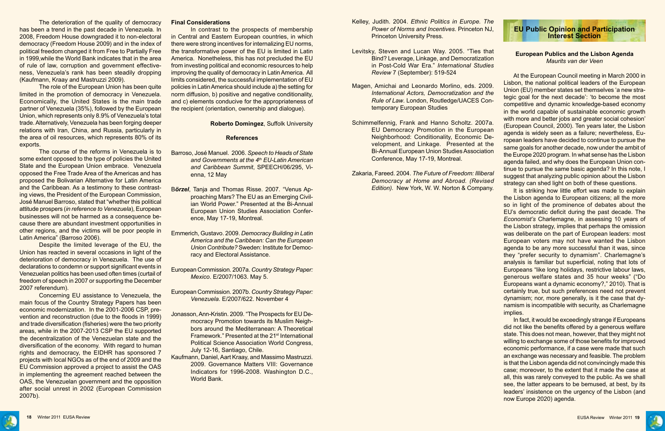The deterioration of the quality of democracy has been a trend in the past decade in Venezuela. In 2008, Freedom House downgraded it to non-electoral democracy (Freedom House 2009) and in the index of political freedom changed it from Free to Partially Free in 1999,while the World Bank indicates that in the area of rule of law, corruption and government effectiveness, Venezuela's rank has been steadily dropping (Kaufmann, Kraay and Mastruzzi 2009).

The role of the European Union has been quite limited in the promotion of democracy in Venezuela. Economically, the United States is the main trade partner of Venezuela (35%), followed by the European Union, which represents only 8.9% of Venezuela's total trade. Alternatively, Venezuela has been forging deeper relations with Iran, China, and Russia, particularly in the area of oil resources, which represents 80% of its exports.

The course of the reforms in Venezuela is to some extent opposed to the type of policies the United State and the European Union embrace. Venezuela opposed the Free Trade Area of the Americas and has proposed the Bolivarian Alternative for Latin America and the Caribbean. As a testimony to these contrasting views, the President of the European Commission, José Manuel Barroso, stated that "whether this political attitude prospers (*in reference to Venezuela*), European businesses will not be harmed as a consequence because there are abundant investment opportunities in other regions, and the victims will be poor people in Latin America" (Barroso 2006).

Despite the limited leverage of the EU, the Union has reacted in several occasions in light of the deterioration of democracy in Venezuela. The use of declarations to condemn or support significant events in Venezuelan politics has been used often times (curtail of freedom of speech in 2007 or supporting the December 2007 referendum).

Concerning EU assistance to Venezuela, the main focus of the Country Strategy Papers has been economic modernization. In the 2001-2006 CSP, prevention and reconstruction (due to the floods in 1999) and trade diversification (fisheries) were the two priority areas, while in the 2007-2013 CSP the EU supported the decentralization of the Venezuelan state and the diversification of the economy. With regard to human rights and democracy, the EIDHR has sponsored 7 projects with local NGOs as of the end of 2009 and the EU Commission approved a project to assist the OAS in implementing the agreement reached between the OAS, the Venezuelan government and the opposition after social unrest in 2002 (European Commission 2007b).

#### **Final Considerations**

In contrast to the prospects of membership in Central and Eastern European countries, in which there were strong incentives for internalizing EU norms, the transformative power of the EU is limited in Latin America. Nonetheless, this has not precluded the EU from investing political and economic resources to help improving the quality of democracy in Latin America. All limits considered, the successful implementation of EU policies in Latin America should include a) the setting for norm diffusion, b) positive and negative conditionality, and c) elements conducive for the appropriateness of the recipient (orientation, ownership and dialogue).

#### **Roberto Domingez**, Suffolk University

#### **References**

It is striking how little effort was made to explain the Lisbon agenda to European citizens; all the more so in light of the prominence of debates about the EU's democratic deficit during the past decade. The *Economist's* Charlemagne, in assessing 10 years of the Lisbon strategy, implies that perhaps the omission was deliberate on the part of European leaders: most European voters may not have wanted the Lisbon agenda to be any more successful than it was, since they "prefer security to dynamism". Charlemagne's analysis is familiar but superficial, noting that lots of Europeans "like long holidays, restrictive labour laws, generous welfare states and 35 hour weeks" ("Do Europeans want a dynamic economy?," 2010). That is certainly true, but such preferences need not prevent dynamism; nor, more generally, is it the case that dynamism is incompatible with security, as Charlemagne implies.

- Barroso, José Manuel. 2006. *Speech to Heads of State and Governments at the 4th EU-Latin American and Caribbean Summit*, SPEECH/06/295, Vienna, 12 May
- B*örzel*, Tanja and Thomas Risse. 2007. "Venus Approaching Mars? The EU as an Emerging Civilian World Power." Presented at the Bi-Annual European Union Studies Association Conference, May 17-19, Montreal.
- Emmerich, Gustavo. 2009. *Democracy Building in Latin America and the Caribbean: Can the European Union Contribute?* Sweden: Institute for Democracy and Electoral Assistance.
- European Commission. 2007a. *Country Strategy Paper: Mexico*. E/2007/1063. May 5.
- European Commission. 2007b. *Country Strategy Paper: Venezuela*. E/2007/622. November 4
- Jonasson, Ann-Kristin. 2009. "The Prospects for EU Democracy Promotion towards its Muslim Neighbors around the Mediterranean: A Theoretical Framework." Presented at the 21st International Political Science Association World Congress, July 12-16, Santiago, Chile.
- Kaufmann, Daniel, Aart Kraay, and Massimo Mastruzzi. 2009. Governance Matters VIII: Governance Indicators for 1996-2008. Washington D.C., World Bank.
- Kelley, Judith. 2004. *Ethnic Politics in Europe. The Power of Norms and Incentives*. Princeton NJ, Princeton University Press.
- Levitsky, Steven and Lucan Way. 2005. "Ties that Bind? Leverage, Linkage, and Democratization in Post-Cold War Era." *International Studies Review* 7 (September): 519-524
- Magen, Amichai and Leonardo Morlino, eds. 2009. *International Actors, Democratization and the Rule of Law*. London, [Routledge/UACES Con](http://www.routledge.com/books/series/Routledge/UACES_Contemporary_European_Studies_2107387)[temporary European Studies](http://www.routledge.com/books/series/Routledge/UACES_Contemporary_European_Studies_2107387)
- Schimmelfennig, Frank and Hanno Scholtz. 2007a. EU Democracy Promotion in the European Neighborhood: Conditionality, Economic Development, and Linkage. Presented at the Bi-Annual European Union Studies Association Conference, May 17-19, Montreal.
- Zakaria, Fareed. 2004. *The Future of Freedom: Illiberal Democracy at Home and Abroad. (Revised Edition).* New York, W. W. Norton & Company.



**European Publics and the Lisbon Agenda** *Maurits van der Veen*

At the European Council meeting in March 2000 in Lisbon, the national political leaders of the European Union (EU) member states set themselves 'a new strategic goal for the next decade': 'to become the most competitive and dynamic knowledge-based economy in the world capable of sustainable economic growth with more and better jobs and greater social cohesion' (European Council, 2000). Ten years later, the Lisbon agenda is widely seen as a failure; nevertheless, European leaders have decided to continue to pursue the same goals for another decade, now under the ambit of the Europe 2020 program. In what sense has the Lisbon agenda failed, and why does the European Union continue to pursue the same basic agenda? In this note, I suggest that analyzing public opinion about the Lisbon strategy can shed light on both of these questions.

In fact, it would be exceedingly strange if Europeans did not like the benefits offered by a generous welfare state. This does not mean, however, that they might not willing to exchange some of those benefits for improved economic performance, if a case were made that such an exchange was necessary and feasible. The problem is that the Lisbon agenda did not convincingly made this case; moreover, to the extent that it made the case at all, this was rarely conveyed to the public. As we shall see, the latter appears to be bemused, at best, by its leaders' insistence on the urgency of the Lisbon (and now Europe 2020) agenda.



# **EU Public Opinion and Participation Interest Section**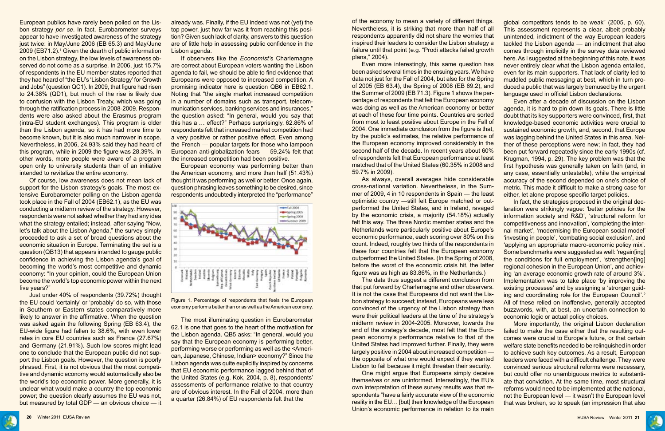

European publics have rarely been polled on the Lisbon strategy *per se*. In fact, Eurobarometer surveys appear to have investigated awareness of the strategy just twice: in May/June 2006 (EB 65.3) and May/June 2009 (EB71.2).<sup>1</sup> Given the dearth of public information on the Lisbon strategy, the low levels of awareness observed do not come as a surprise. In 2006, just 15.7% of respondents in the EU member states reported that they had heard of "the EU's 'Lisbon Strategy' for Growth and Jobs" (question QC1). In 2009, that figure had risen to 24.38% (QD1), but much of the rise is likely due to confusion with the Lisbon Treaty, which was going through the ratification process in 2008-2009. Respondents were also asked about the Erasmus program (intra-EU student exchanges). This program is older than the Lisbon agenda, so it has had more time to become known, but it is also much narrower in scope. Nevertheless, in 2006, 24.93% said they had heard of this program, while in 2009 the figure was 28.39%. In other words, more people were aware of a program open only to university students than of an initiative intended to revitalize the entire economy.

Of course, low awareness does not mean lack of support for the Lisbon strategy's goals. The most extensive Eurobarometer polling on the Lisbon agenda took place in the Fall of 2004 (EB62.1), as the EU was conducting a midterm review of the strategy. However, respondents were not asked whether they had any idea what the strategy entailed; instead, after saying "Now, let's talk about the Lisbon Agenda," the survey simply proceeded to ask a set of broad questions about the economic situation in Europe. Terminating the set is a question (QB13) that appears intended to gauge public confidence in achieving the Lisbon agenda's goal of becoming the world's most competitive and dynamic economy: "In your opinion, could the European Union become the world's top economic power within the next five years?"

Just under 40% of respondents (39.72%) thought the EU could 'certainly' or 'probably' do so, with those in Southern or Eastern states comparatively more likely to answer in the affirmative. When the question was asked again the following Spring (EB 63.4), the EU-wide figure had fallen to 38.6%, with even lower rates in core EU countries such as France (27.67%) and Germany (21.91%). Such low scores might lead one to conclude that the European public did not support the Lisbon goals. However, the question is poorly phrased. First, it is not obvious that the most competitive and dynamic economy would automatically also be the world's top economic power. More generally, it is unclear what would make a country the top economic power; the question clearly assumes the EU was not, but measured by total GDP — an obvious choice — it

already was. Finally, if the EU indeed was not (yet) the top power, just how far was it from reaching this position? Given such lack of clarity, answers to this question are of little help in assessing public confidence in the Lisbon agenda.

If observers like the *Economist'*s Charlemagne are correct about European voters wanting the Lisbon agenda to fail, we should be able to find evidence that Europeans were opposed to increased competition. A promising indicator here is question QB6 in EB62.1. Noting that "the single market increased competition in a number of domains such as transport, telecommunication services, banking services and insurances," the question asked: "In general, would you say that this has a … effect?" Perhaps surprisingly, 62.86% of respondents felt that increased market competition had a very positive or rather positive effect. Even among the French — popular targets for those who lampoon European anti-globalization fears — 59.24% felt that the increased competition had been positive.

European economy was performing better than the American economy, and more than half (51.43%) thought it was performing as well or better. Once again, question phrasing leaves something to be desired, since respondents undoubtedly interpreted the "performance"

of the economy to mean a variety of different things. Nevertheless, it is striking that more than half of all respondents apparently did not share the worries that inspired their leaders to consider the Lisbon strategy a failure until that point (e.g. "Prodi attacks failed growth plans," 2004). Even more interestingly, this same question has been asked several times in the ensuing years. We have data not just for the Fall of 2004, but also for the Spring of 2005 (EB 63.4), the Spring of 2008 (EB 69.2), and the Summer of 2009 (EB 71.3). Figure 1 shows the perglobal competitors tends to be weak" (2005, p. 60). This assessment represents a clear, albeit probably unintended, indictment of the way European leaders tackled the Lisbon agenda — an indictment that also comes through implicitly in the survey data reviewed here. As I suggested at the beginning of this note, it was never entirely clear what the Lisbon agenda entailed, even for its main supporters. That lack of clarity led to muddled public messaging at best, which in turn produced a public that was largely bemused by the urgent language used in official Lisbon declarations.

midterm review in 2004-2005. Moreover, towards the

centage of respondents that felt the European economy was doing as well as the American economy or better at each of these four time points. Countries are sorted from most to least positive about Europe in the Fall of 2004. One immediate conclusion from the figure is that, by the public's estimates, the relative performance of the European economy improved considerably in the second half of the decade. In recent years about 60% of respondents felt that European performance at least matched that of the United States (60.35% in 2008 and 59.7% in 2009). As always, overall averages hide considerable Even after a decade of discussion on the Lisbon agenda, it is hard to pin down its goals. There is little doubt that its key supporters were convinced, first, that knowledge-based economic activities were crucial to sustained economic growth, and, second, that Europe was lagging behind the United States in this area. Neither of these perceptions were new; in fact, they had been put forward repeatedly since the early 1990s (cf. Krugman, 1994, p. 29). The key problem was that the first hypothesis was generally taken on faith (and, in any case, essentially untestable), while the empirical accuracy of the second depended on one's choice of metric. This made it difficult to make a strong case for either, let alone propose specific target policies.

cross-national variation. Nevertheless, in the Summer of 2009, 4 in 10 respondents in Spain — the least optimistic country —still felt Europe matched or outperformed the United States, and in Ireland, ravaged by the economic crisis, a majority (54.18%) actually felt this way. The three Nordic member states and the Netherlands were particularly positive about Europe's economic performance, each scoring over 80% on this count. Indeed, roughly two thirds of the respondents in these four countries felt that the European economy outperformed the United States. (In the Spring of 2008, before the worst of the economic crisis hit, the latter figure was as high as 83.86%, in the Netherlands.) The data thus suggest a different conclusion from that put forward by Charlemagne and other observers. It is not the case that Europeans did not want the Lisbon strategy to succeed; instead, Europeans were less convinced of the urgency of the Lisbon strategy than were their political leaders at the time of the strategy's In fact, the strategies proposed in the original declaration were strikingly vague: 'better policies for the information society and R&D', 'structural reform for competitiveness and innovation', 'completing the internal market', 'modernising the European social model' 'investing in people', 'combating social exclusion', and 'applying an appropriate macro-economic policy mix'. Some benchmarks were suggested as well: 'regain[ing] the conditions for full employment', 'strengthen[ing] regional cohesion in the European Union', and achieving 'an average economic growth rate of around 3%'. Implementation was to take place 'by improving the existing processes' and by assigning a 'stronger guiding and coordinating role for the European Council'.2 All of these relied on inoffensive, generally accepted buzzwords, with, at best, an uncertain connection to economic logic or actual policy choices.

end of the strategy's decade, most felt that the European economy's performance relative to that of the United States had improved further. Finally, they were largely positive in 2004 about increased competition the opposite of what one would expect if they wanted Lisbon to fail because it might threaten their security. One might argue that Europeans simply deceive themselves or are uninformed. Interestingly, the EU's own interpretation of these survey results was that respondents "have a fairly accurate view of the economic reality in the EU… [but] their knowledge of the European Union's economic performance in relation to its main More importantly, the original Lisbon declaration failed to make the case either that the resulting outcomes were crucial to Europe's future, or that certain welfare state benefits needed to be relinquished in order to achieve such key outcomes. As a result, European leaders were faced with a difficult challenge. They were convinced serious structural reforms were necessary, but could offer no unambiguous metrics to substantiate that conviction. At the same time, most structural reforms would need to be implemented at the national, not the European level — it wasn't the European level that was broken, so to speak (an impression that also



Figure 1. Percentage of respondents that feels the European economy performs better than or as well as the American economy.

The most illuminating question in Eurobarometer 62.1 is one that goes to the heart of the motivation for the Lisbon agenda. QB5 asks: "In general, would you say that the European economy is performing better, performing worse or performing as well as the <American, Japanese, Chinese, Indian> economy?" Since the Lisbon agenda was quite explicitly inspired by concerns that EU economic performance lagged behind that of the United States (e.g. Kok, 2004, p. 8), respondents' assessments of performance relative to that country are of obvious interest. In the Fall of 2004, more than a quarter (26.84%) of EU respondents felt that the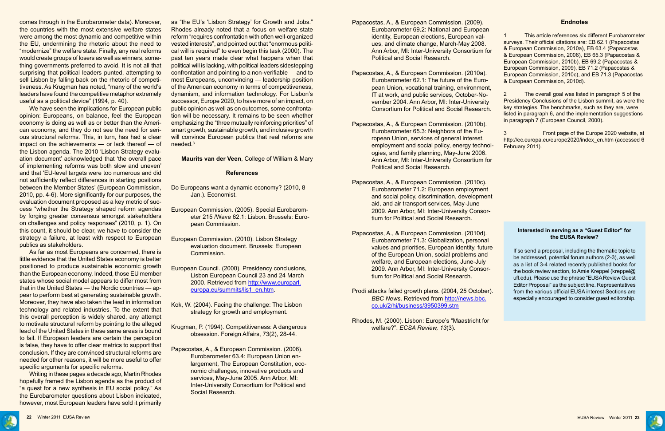

Editor Proposal" as the subject line. Representatives from the various official EUSA interest Sections are especially encouraged to consider guest editorship.



comes through in the Eurobarometer data). Moreover, the countries with the most extensive welfare states were among the most dynamic and competitive within the EU, undermining the rhetoric about the need to "modernize" the welfare state. Finally, any real reforms would create groups of losers as well as winners, something governments preferred to avoid. It is not all that surprising that political leaders punted, attempting to sell Lisbon by falling back on the rhetoric of competitiveness. As Krugman has noted, "many of the world's leaders have found the competitive metaphor extremely useful as a political device" (1994, p. 40).

We have seen the implications for European public opinion: Europeans, on balance, feel the European economy is doing as well as or better than the American economy, and they do not see the need for serious structural reforms. This, in turn, has had a clear impact on the achievements — or lack thereof — of the Lisbon agenda. The 2010 'Lisbon Strategy evaluation document' acknowledged that 'the overall pace of implementing reforms was both slow and uneven' and that 'EU-level targets were too numerous and did not sufficiently reflect differences in starting positions between the Member States' (European Commission, 2010, pp. 4-6). More significantly for our purposes, the evaluation document proposed as a key metric of success "whether the Strategy shaped reform agendas by forging greater consensus amongst stakeholders on challenges and policy responses" (2010, p. 1). On this count, it should be clear, we have to consider the strategy a failure, at least with respect to European publics as stakeholders.

As far as most Europeans are concerned, there is little evidence that the United States economy is better positioned to produce sustainable economic growth than the European economy. Indeed, those EU member states whose social model appears to differ most from that in the United States — the Nordic countries — appear to perform best at generating sustainable growth. Moreover, they have also taken the lead in information technology and related industries. To the extent that this overall perception is widely shared, any attempt to motivate structural reform by pointing to the alleged lead of the United States in these same areas is bound to fail. If European leaders are certain the perception is false, they have to offer clear metrics to support that conclusion. If they are convinced structural reforms are needed for other reasons, it will be more useful to offer specific arguments for specific reforms.

Writing in these pages a decade ago, Martin Rhodes hopefully framed the Lisbon agenda as the product of "a quest for a new synthesis in EU social policy." As the Eurobarometer questions about Lisbon indicated, however, most European leaders have sold it primarily as "the EU's 'Lisbon Strategy' for Growth and Jobs." Rhodes already noted that a focus on welfare state reform "requires confrontation with often well-organized vested interests", and pointed out that "enormous political will is required" to even begin this task (2000). The past ten years made clear what happens when that political will is lacking, with political leaders sidestepping confrontation and pointing to a non-verifiable — and to most Europeans, unconvincing — leadership position of the American economy in terms of competitiveness, dynamism, and information technology. For Lisbon's successor, Europe 2020, to have more of an impact, on public opinion as well as on outcomes, some confrontation will be necessary. It remains to be seen whether emphasizing the "three mutually reinforcing priorities" of smart growth, sustainable growth, and inclusive growth will convince European publics that real reforms are needed.3

| эr<br>t,             | 1<br>This article references six different Eurobarometer<br>surveys. Their official citations are: EB 62.1 (Papacostas<br>& European Commission, 2010a), EB 63.4 (Papacostas<br>& European Commission, 2006), EB 65.3 (Papacostas &<br>European Commission, 2010b), EB 69.2 (Papacostas &<br>European Commission, 2009), EB 71.2 (Papacostas &<br>European Commission, 2010c), and EB 71.3 (Papacostas<br>& European Commission, 2010d). |
|----------------------|------------------------------------------------------------------------------------------------------------------------------------------------------------------------------------------------------------------------------------------------------------------------------------------------------------------------------------------------------------------------------------------------------------------------------------------|
| ì.                   | The overall goal was listed in paragraph 5 of the<br>$\overline{2}$<br>Presidency Conclusions of the Lisbon summit, as were the<br>key strategies. The benchmarks, such as they are, were<br>listed in paragraph 6, and the implementation suggestions<br>in paragraph 7 (European Council, 2000).                                                                                                                                       |
| -اد                  | 3<br>Front page of the Europe 2020 website, at<br>http://ec.europa.eu/europe2020/index_en.htm (accessed 6<br>February 2011).                                                                                                                                                                                                                                                                                                             |
| Эľ                   |                                                                                                                                                                                                                                                                                                                                                                                                                                          |
| nt                   |                                                                                                                                                                                                                                                                                                                                                                                                                                          |
|                      | Interested in serving as a "Guest Editor" for<br>the EUSA Review?                                                                                                                                                                                                                                                                                                                                                                        |
| re<br>$\overline{a}$ | If so send a proposal, including the thematic topic to<br>be addressed, potential forum authors (2-3), as well<br>as a list of 3-4 related recently published books for<br>the book review section, to Amie Kreppel (kreppel@<br>ufl.edu). Please use the phrase "EUSA Review Guest<br>Editor Proposal" as the subject line. Representatives                                                                                             |

**Maurits van der Veen**, College of William & Mary

#### **References**

Do Europeans want a dynamic economy? (2010, 8 Jan.). Economist.

- European Commission. (2005). Special Eurobarometer 215 /Wave 62.1: Lisbon. Brussels: European Commission.
- European Commission. (2010). Lisbon Strategy evaluation document. Brussels: European Commission.
- European Council. (2000). Presidency conclusions, Lisbon European Council 23 and 24 March 2000. Retrieved from [http://www.europarl.](http://www.europarl.europa.eu/summits/lis1_en.htm) [europa.eu/summits/lis1\\_en.htm.](http://www.europarl.europa.eu/summits/lis1_en.htm)
- Kok, W. (2004). Facing the challenge: The Lisbon strategy for growth and employment.
- Krugman, P. (1994). Competitiveness: A dangerous obsession. Foreign Affairs, 73(2), 28-44.
- Papacostas, A., & European Commission. (2006). Eurobarometer 63.4: European Union enlargement, The European Constitution, economic challenges, innovative products and services, May-June 2005. Ann Arbor, MI: Inter-University Consortium for Political and Social Research.
- Papacostas, A., & European Commission. (2009). Eurobarometer 69.2: National and European identity, European elections, European values, and climate change, March-May 2008. Ann Arbor, MI: Inter-University Consortium for Political and Social Research.
- Papacostas, A., & European Commission. (2010a). Eurobarometer 62.1: The future of the European Union, vocational training, environment IT at work, and public services, October-November 2004. Ann Arbor, MI: Inter-University **Consortium for Political and Social Research.**
- Papacostas, A., & European Commission. (2010b). Eurobarometer 65.3: Neighbors of the European Union, services of general interest, employment and social policy, energy technologies, and family planning, May-June 2006. Ann Arbor, MI: Inter-University Consortium for Political and Social Research.
- Papacostas, A., & European Commission. (2010c). Eurobarometer 71.2: European employment and social policy, discrimination, development aid, and air transport services, May-June 2009. Ann Arbor, MI: Inter-University Consortium for Political and Social Research.
- Papacostas, A., & European Commission. (2010d). Eurobarometer 71.3: Globalization, personal values and priorities, European identity, future of the European Union, social problems and welfare, and European elections, June-July 2009. Ann Arbor, MI: Inter-University Consortium for Political and Social Research.
- Prodi attacks failed growth plans. (2004, 25 October). *BBC News*. Retrieved from [http://news.bbc.](http://news.bbc.co.uk/2/hi/business/3950399.stm) [co.uk/2/hi/business/3950399.stm](http://news.bbc.co.uk/2/hi/business/3950399.stm)
- Rhodes, M. (2000). Lisbon: Europe's "Maastricht for welfare?". *ECSA Review, 13*(3).

#### **Endnotes**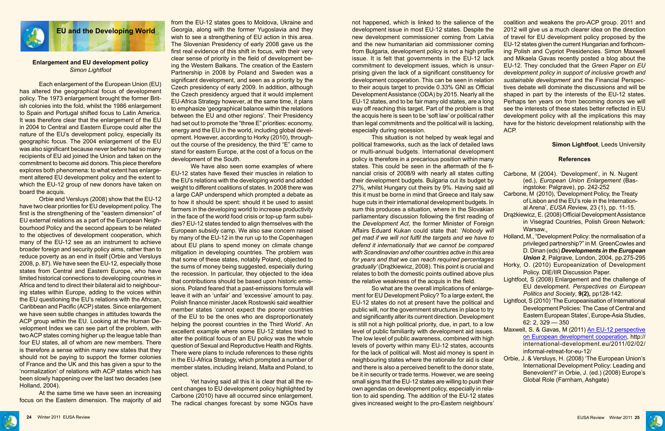

### **Enlargement and EU development policy** *Simon Lightfoot*

Each enlargement of the European Union (EU) has altered the geographical focus of development policy. The 1973 enlargement brought the former British colonies into the fold, whilst the 1986 enlargement to Spain and Portugal shifted focus to Latin America. It was therefore clear that the enlargement of the EU in 2004 to Central and Eastern Europe could alter the nature of the EU's development policy, especially its geographic focus. The 2004 enlargement of the EU was also significant because never before had so many recipients of EU aid joined the Union and taken on the commitment to become aid donors. This piece therefore explores both phenomena: to what extent has enlargement altered EU development policy and the extent to which the EU-12 group of new donors have taken on board the acquis.

At the same time we have seen an increasing focus on the Eastern dimension. The majority of aid

Orbie and Versluys (2008) show that the EU-12 have two clear priorities for EU development policy. The first is the strengthening of the "eastern dimension" of EU external relations as a part of the European Neighbourhood Policy and the second appears to be related to the objectives of development cooperation, which many of the EU-12 see as an instrument to achieve broader foreign and security policy aims, rather than to reduce poverty as an end in itself (Orbie and Versluys 2008, p. 87). We have seen the EU-12, especially those states from Central and Eastern Europe, who have limited historical connections to developing countries in Africa and tend to direct their bilateral aid to neighbouring states within Europe, adding to the voices within the EU questioning the EU's relations with the African, Caribbean and Pacific (ACP) states. Since enlargement we have seen subtle changes in attitudes towards the ACP group within the EU. Looking at the Human Development Index we can see part of the problem, with two ACP states coming higher up the league table than four EU states, all of whom are new members. There is therefore a sense within many new states that they should not be paying to support the former colonies of France and the UK and this has given a spur to the 'normalization' of relations with ACP states which has been slowly happening over the last two decades (see Holland, 2004).

from the EU-12 states goes to Moldova, Ukraine and Georgia, along with the former Yugoslavia and they wish to see a strengthening of EU action in this area. The Slovenian Presidency of early 2008 gave us the first real evidence of this shift in focus, with their very clear sense of priority in the field of development being the Western Balkans. The creation of the Eastern Partnership in 2008 by Poland and Sweden was a significant development, and seen as a priority by the Czech presidency of early 2009. In addition, although the Czech presidency argued that it would implement EU-Africa Strategy however, at the same time, it plans to emphasize 'geographical balance within the relations between the EU and other regions'. Their Presidency had set out to promote the "three E" priorities: economy, energy and the EU in the world, including global development. However, according to Horky (2010), throughout the course of the presidency, the third "E" came to stand for eastern Europe, at the cost of a focus on the development of the South.

We have also seen some examples of where EU-12 states have flexed their muscles in relation to the EU's relations with the developing world and added weight to different coalitions of states. In 2008 there was a large CAP underspend which prompted a debate as to how it should be spent: should it be used to assist farmers in the developing world to increase productivity in the face of the world food crisis or top-up farm subsidies? EU-12 states tended to align themselves with the European subsidy camp. We also saw concern raised by many of the EU-12 in the run up to the Copenhagen about EU plans to spend money on climate change mitigation in developing countries. The problem was that some of these states, notably Poland, objected to the sums of money being suggested, especially during the recession. In particular, they objected to the idea that contributions should be based upon historic emissions. Poland feared that a past-emissions formula will leave it with an 'unfair' and 'excessive' amount to pay. Polish finance minister Jacek Rostowski said wealthier member states 'cannot expect the poorer countries of the EU to be the ones who are disproportionately helping the poorest countries in the Third World'. An excellent example where some EU-12 states tried to alter the political focus of an EU policy was the whole question of Sexual and Reproductive Health and Rights. There were plans to include references to these rights in the EU-Africa Strategy, which prompted a number of member states, including Ireland, Malta and Poland, to object.

Yet having said all this it is clear that all the recent changes to EU development policy highlighted by Carbone (2010) have all occurred since enlargement. The radical changes forecast by some NGOs have

This situation is not helped by weak legal and political frameworks, such as the lack of detailed laws or multi-annual budgets. International development policy is therefore in a precarious position within many states. This could be seen in the aftermath of the financial crisis of 2008/9 with nearly all states cutting their development budgets. Bulgaria cut its budget by 27%, whilst Hungary cut theirs by 9%. Having said all this it must be borne in mind that Greece and Italy saw huge cuts in their international development budgets. In sum this produces a situation, where in the Slovakian parliamentary discussion following the first reading of the *Development Act*, the former Minister of Foreign Affairs Eduard Kukan could state that: '*Nobody will get mad if we will not fulfil the targets and we have to defend it internationally that we cannot be compared with Scandinavian and other countries active in this area for years and that we can reach required percentages gradually'* (Drążkiewicz, 2008). This point is crucial and relates to both the domestic points outlined above plus the relative weakness of the acquis in the field.

not happened, which is linked to the salience of the development issue in most EU-12 states. Despite the new development commissioner coming from Latvia and the new humanitarian aid commissioner coming from Bulgaria, development policy is not a high profile issue. It is felt that governments in the EU-12 lack commitment to development issues, which is unsurprising given the lack of a significant constituency for development cooperation. This can be seen in relation to their acquis target to provide 0.33% GNI as Official Development Assistance (ODA) by 2015. Nearly all the EU-12 states, and to be fair many old states, are a long way off reaching this target. Part of the problem is that the acquis here is seen to be 'soft law' or political rather than legal commitments and the political will is lacking, especially during recession. coalition and weakens the pro-ACP group. 2011 and 2012 will give us a much clearer idea on the direction of travel for EU development policy proposed by the EU-12 states given the current Hungarian and forthcoming Polish and Cypriot Presidencies. Simon Maxwell and Mikaela Gavas recently posted a blog about the EU-12. They concluded that the *Green Paper on EU development policy in support of inclusive growth and sustainable development* and the Financial Perspectives debate will dominate the discussions and will be shaped in part by the interests of the EU-12 states. Perhaps ten years on from becoming donors we will see the interests of these states better reflected in EU development policy with all the implications this may have for the historic development relationship with the ACP.

So what are the overall implications of enlargement for EU Development Policy? To a large extent, the EU-12 states do not at present have the political and public will, nor the government structures in place to try and significantly alter its current direction. Development is still not a high political priority, due, in part, to a low level of public familiarity with development aid issues. The low level of public awareness, combined with high levels of poverty within many EU-12 states, accounts for the lack of political will. Most aid money is spent in neighbouring states where the rationale for aid is clear and there is also a perceived benefit to the donor state, be it in security or trade terms. However, we are seeing small signs that the EU-12 states are willing to push their own agendas on development policy, especially in relation to aid spending. The addition of the EU-12 states gives increased weight to the pro-Eastern neighbours'



## **Simon Lightfoot**, Leeds University

#### **References**

- Carbone, M (2004). 'Development', in N. Nugent (ed.), *European Union Enlargement* (Basingstoke: Palgrave), pp. 242-252
- Carbone, M (2010), 'Development Policy, the Treaty of Lisbon and the EU's role in the International Arena', *EUSA Re*view, 23 (1), pp. 11-15.
- Drążkiewicz, E. (2008) Official Development Assistance in Visegrad Countries, Polish Green Network: Warsaw.
- Holland, M., "Development Policy: the normalisation of a privileged partnership?" in M. GreenCowles and D. Dinan (eds) *Developments in the European Union 2*, Palgrave, London, 2004, pp.275-295
- Horky, O. (2010) Europeanization of Development Policy. DIE/IIR Discussion Paper.
- Lightfoot, S (2008) Enlargement and the challenge of EU development. *Perspectives on European Politics and Society*, **9(2),** pp128-142.
- Lightfoot, S (2010) 'The Europeanisation of International Development Policies: The Case of Central and Eastern European States', Europe-Asia Studies, 62: 2, 329 — 350
- Maxwell, S. & Gavas, M (2011) [An EU-12 perspective](file:///C:\Users\kreppel\AppData\Local\Microsoft\Windows\Temporary%20Internet%20Files\Content.Outlook\3VFXRPS9\An%20EU-12%20perspective%20on%20European%20development�cooperation) [on European development](file:///C:\Users\kreppel\AppData\Local\Microsoft\Windows\Temporary%20Internet%20Files\Content.Outlook\3VFXRPS9\An%20EU-12%20perspective%20on%20European%20development�cooperation) cooperation, http:// international-development.eu/2011/02/02/ informal-retreat-for-eu-12/
- Orbie, J. & Versluys, H. (2008) 'The European Union's International Development Policy: Leading and Benevolent?' in Orbie, J. (ed.) (2008) Europe's Global Role (Farnham, Ashgate)
- 
- 
- 

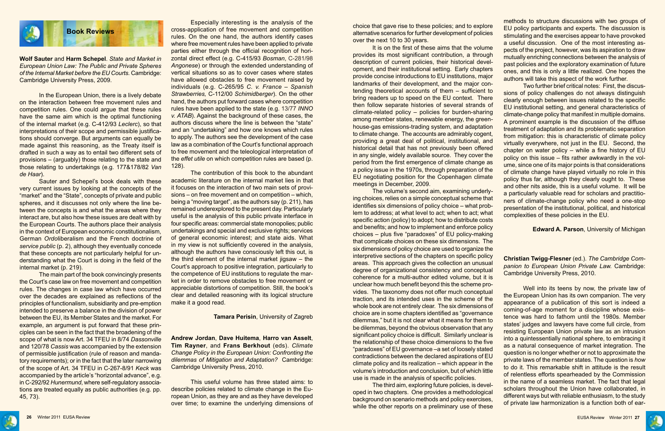

Especially interesting is the analysis of the cross-application of free movement and competition rules. On the one hand, the authors identify cases where free movement rules have been applied to private parties either through the official recognition of horizontal direct effect (e.g. C-415/93 *Bosman*, C-281/98 *Angonese*) or through the extended understanding of vertical situations so as to cover cases where states have allowed obstacles to free movement raised by individuals (e.g. C-265/95 *C. v. France – Spanish Strawberries,* C-112/00 *Schimidberger*). On the other hand, the authors put forward cases where competition rules have been applied to the state (e.g. 13/77 *INNO v. ATAB*). Against the background of these cases, the authors discuss where the line is between the "state" and an "undertaking" and how one knows which rules to apply. The authors see the development of the case law as a combination of the Court's functional approach to free movement and the teleological interpretation of the *effet utile* on which competition rules are based (p. 128).

The contribution of this book to the abundant academic literature on the internal market lies in that it focuses on the interaction of two main sets of provisions – on free movement and on competition – which, being a "moving target", as the authors say (p. 211), has remained underexplored to the present day. Particularly useful is the analysis of this public private interface in four specific areas: commercial state monopolies; public undertakings and special and exclusive rights; services of general economic interest; and state aids. What in my view is not sufficiently covered in the analysis, although the authors have consciously left this out, is the third element of the internal market jigsaw – the Court's approach to positive integration, particularly to the competence of EU institutions to regulate the market in order to remove obstacles to free movement or appreciable distortions of competition. Still, the book's clear and detailed reasoning with its logical structure make it a good read.

#### **Tamara Perisin**, University of Zagreb

**Andrew Jordan**, **Dave Huitema**, **Harro van Asselt**, **Tim Rayner**, and **Frans Berkhout** (eds). *Climate Change Policy in the European Union: Confronting the dilemmas of Mitigation and Adaptation?* Cambridge: Cambridge University Press, 2010.

This useful volume has three stated aims: to describe policies related to climate change in the European Union, as they are and as they have developed over time; to examine the underlying dimensions of

**Wolf Sauter** and **Harm Schepel**. *State and Market in European Union Law: The Public and Private Spheres of the Internal Market before the EU Courts.* Cambridge: Cambridge University Press, 2009.

In the European Union, there is a lively debate on the interaction between free movement rules and competition rules. One could argue that these rules have the same aim which is the optimal functioning of the internal market (e.g. C-412/93 *Leclerc*), so that interpretations of their scope and permissible justifications should converge. But arguments can equally be made against this reasoning, as the Treaty itself is drafted in such a way as to entail two different sets of provisions – (arguably) those relating to the state and those relating to undertakings (e.g. 177&178/82 *Van de Haar*).

Sauter and Schepel's book deals with these very current issues by looking at the concepts of the "market" and the "State", concepts of private and public spheres, and it discusses not only where the line between the concepts is and what the areas where they interact are, but also how these issues are dealt with by the European Courts. The authors place their analysis in the context of European economic constitutionalism, German *Ordo*liberalism and the French doctrine of *service public* (p. 2), although they eventually concede that these concepts are not particularly helpful for understanding what the Court is doing in the field of the internal market (p. 219).

> The third aim, exploring future policies, is developed in two chapters. One provides a methodological background on scenario methods and policy exercises, while the other reports on a preliminary use of these

The main part of the book convincingly presents the Court's case law on free movement and competition rules. The changes in case law which have occurred over the decades are explained as reflections of the principles of functionalism, subsidiarity and pre-emption intended to preserve a balance in the division of power between the EU, its Member States and the market. For example, an argument is put forward that these principles can be seen in the fact that the broadening of the scope of what is now Art. 34 TFEU in 8/74 *Dassonville* and 120/78 *Cassis* was accompanied by the extension of permissible justification (rule of reason and mandatory requirements); or in the fact that the later narrowing of the scope of Art. 34 TFEU in C-267-8/91 *Keck* was accompanied by the article's "horizontal advance", e.g. in C-292/92 *Hunermund*, where self-regulatory associations are treated equally as public authorities (e.g. pp. 45, 73).

choice that gave rise to these policies; and to explore alternative scenarios for further development of policies over the next 10 to 30 years. It is on the first of these aims that the volume methods to structure discussions with two groups of EU policy participants and experts. The discussion is stimulating and the exercises appear to have provoked a useful discussion. One of the most interesting aspects of the project, however, was its aspiration to draw mutually enriching connections between the analysis of past policies and the exploratory examination of future ones, and this is only a little realized. One hopes the authors will take this aspect of the work further.

specific action (policy) to adopt; how to distribute costs and benefits; and how to implement and enforce policy choices – plus five "paradoxes" of EU policy-making that complicate choices on these six dimensions. The six dimensions of policy choice are used to organize the interpretive sections of the chapters on specific policy areas. This approach gives the collection an unusual degree of organizational consistency and conceptual coherence for a multi-author edited volume, but it is unclear how much benefit beyond this the scheme provides. The taxonomy does not offer much conceptual traction, and its intended uses in the scheme of the whole book are not entirely clear. The six dimensions of choice are in some chapters identified as "governance dilemmas," but it is not clear what it means for them to be dilemmas, beyond the obvious observation that any significant policy choice is difficult. Similarly unclear is the relationship of these choice dimensions to the five "paradoxes" of EU governance –a set of loosely stated contradictions between the declared aspirations of EU climate policy and its realization – which appear in the volume's introduction and conclusion, but of which little use is made in the analysis of specific policies.

provides its most significant contribution, a through description of current policies, their historical development, and their institutional setting. Early chapters provide concise introductions to EU institutions, major landmarks of their development, and the major contending theoretical accounts of them – sufficient to bring readers up to speed on the EU context. There then follow separate histories of several strands of climate-related policy – policies for burden-sharing among member states, renewable energy, the greenhouse-gas emissions-trading system, and adaptation to climate change. The accounts are admirably cogent, providing a great deal of political, institutional, and historical detail that has not previously been offered in any single, widely available source. They cover the period from the first emergence of climate change as a policy issue in the 1970s, through preparation of the EU negotiating position for the Copenhagen climate meetings in December, 2009. The volume's second aim, examining underlying choices, relies on a simple conceptual scheme that identifies six dimensions of policy choice – what problem to address; at what level to act; when to act; what Two further brief critical notes: First, the discussions of policy challenges do not always distinguish clearly enough between issues related to the specific EU institutional setting, and general characteristics of climate-change policy that manifest in multiple domains. A prominent example is the discussion of the diffuse treatment of adaptation and its problematic separation from mitigation: this is characteristic of climate policy virtually everywhere, not just in the EU. Second, the chapter on water policy – while a fine history of EU policy on this issue – fits rather awkwardly in the volume, since one of its major points is that considerations of climate change have played virtually no role in this policy thus far, although they clearly ought to. These and other nits aside, this is a useful volume. It will be a particularly valuable read for scholars and practitioners of climate-change policy who need a one-stop presentation of the institutional, political, and historical complexities of these policies in the EU.

### **Edward A. Parson**, University of Michigan

**Christian Twigg-Flesner** (ed.). *The Cambridge Companion to European Union Private Law.* Cambridge: Cambridge University Press, 2010.

Well into its teens by now, the private law of the European Union has its own companion. The very appearance of a publication of this sort is indeed a coming-of-age moment for a discipline whose existence was hard to fathom until the 1980s. Member states' judges and lawyers have come full circle, from resisting European Union private law as an intrusion into a quintessentially national sphere, to embracing it as a natural consequence of market integration. The question is no longer whether or not to approximate the private laws of the member states. The question is *how* to do it. This remarkable shift in attitude is the result of relentless efforts spearheaded by the Commission in the name of a seamless market. The fact that legal scholars throughout the Union have collaborated, in different ways but with reliable enthusiasm, to the study of private law harmonization is a function both of ear-